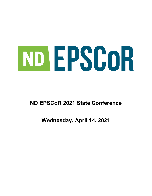# ND EPSCOR

# **ND EPSCoR 2021 State Conference**

# **Wednesday, April 14, 2021**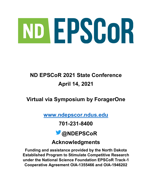# ND EPSCOR

# **ND EPSCoR 2021 State Conference April 14, 2021**

# **Virtual via Symposium by ForagerOne**

**[www.ndepscor.ndus.edu](http://www.ndepscor.ndus.edu/)**

# **701-231-8400**



# **Acknowledgments**

**Funding and assistance provided by the North Dakota Established Program to Stimulate Competitive Research under the National Science Foundation EPSCoR Track-1 Cooperative Agreement OIA-1355466 and OIA-1946202**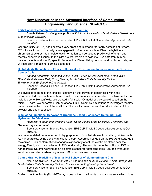# **New Discoveries in the Advanced Interface of Computation, Engineering, and Science (ND-ACES)**

**[Early Cancer Detection by Cell-Free Chromatin and Al](https://symposium.foragerone.com/ndepscor21/presentations/13364)**

*Motoki Takaku, Xusheng Wang, Alyssa Erickson, University of North Dakota Department of Biomedical Sciences*

Sponsor: National Science Foundation EPSCoR Track-1 Cooperative Agreement OIA-1946202

Cell-free DNA (cfDNA) has become a very promising biomarker for early detection of tumors. CfDNAs are known to partially retain epigenetic information such as DNA methylation and chromatin structures. Such epigenetic information can be used to predict cell-of-origin and thereby cancerous tissues. In this pilot project, we plan to collect cfDNA data from human cancer patients and identify specific features in cfDNAs. Using our own and published data, we will establish a machine-learning based tool.

#### **[High-Fidelity Simulation of Flows in Bone-Like](https://symposium.foragerone.com/ndepscor21/presentations/14357) Environment to Investigate the Growth of [Cancer](https://symposium.foragerone.com/ndepscor21/presentations/14357) Cells**

*Lahcen Akerkouch, Haneesh Jasuja, Luke Kieffer, Davina Kasperski, Ethan Wells, Dinesh Katti, Kalpana Katti, Trung Bao Le, North Dakota State University Civil and Environmental Engineering Department*

Sponsor: National Science Foundation EPSCoR Track-1 Cooperative Agreement OIA-1946202

We investigate the role of interstitial fluid flow on the growth of cancer cells within the interconnected pores of human bone. In-vitro experiments were carried out in a bio-reactor that includes bone-like scaffolds. We created a full-scale 3D model of the scaffold based on the micro-CT data. We performed Computational Fluid Dynamics simulations to investigate the flow patterns inside the pores of the scaffolds. The results reveal non-uniform distributions of flow velocity and shear stresses.

#### **[Simulating Functional Behavior of Graphene-Based Biosensors Detecting Toxic](https://symposium.foragerone.com/ndepscor21/presentations/13089)  [Hydrogen Sulfide Gases](https://symposium.foragerone.com/ndepscor21/presentations/13089)**

*Rebecca Tomann and Svetlana Kilina, North Dakota State University Chemistry and Biochemistry Department*

Sponsor: National Science Foundation EPSCoR Track-1 Cooperative Agreement OIA-1946202

We have modeled nanopatterned holey graphene (HG) substrate electronically hybridized with Au nanoparticles, using density functional theory. Adsorption of H2S on the HG-Au distorts H2S molecules. Such conformational changes significantly affect the electronic states near the energy Fermi, which are reflected in DC-conductivity. The results prove the ability of HG/Aunanoparticle systems working as an electronic sensor for detecting toxic H2S gas even at its small concentrations, when only a few H2S molecules are present.

**[Coarse-Grained Modeling of Mechanical Behavior of Montmorillonite Clay](https://symposium.foragerone.com/ndepscor21/presentations/13124)**

*Sarah Ghazanfari, H. M. Nasrullah Faisal, Kalpana S. Katti, Dinesh R. Katti, Wenjie Xia, North Dakota State University Civil and Environmental Engineering Department*

Sponsor: National Science Foundation EPSCoR Track-1 Cooperative Agreement OIA-1946202

Sodium montmorillonite (Na-MMT) clay is one of the constituents of expansive soils which plays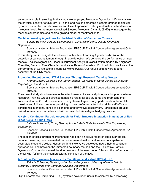an important role in swelling. In this study, we employed Molecular Dynamics (MD) to analyze the physical behavior of (Na-MMT). To this end, we implemented a coarse-grained molecular dynamics simulation, which provides an efficient approach to study materials at a fundamental molecular level. Furthermore, we utilized Steered Molecular Dynamic (SMD) to investigate the mechanical properties of a coarse-grained model of montmorillonite.

#### **[Machine Learning Algorithms for the Identification of Cancerous Tumors](https://symposium.foragerone.com/ndepscor21/presentations/13007)**

*Solene Bechelli, Jerome Delhommelle, University of North Dakota Chemistry Department*

Sponsor: National Science Foundation EPSCoR Track-1 Cooperative Agreement OIA-1946202

In this study, we investigate the relevance of Machine Learning Algorithms (MLA) for the detection of cancerous tumors through image detection. We compare the performance of linear models (Logistic regression, Linear Discriminant Analysis), classification models (K Neighbors Classifier, Decision Tree Classifier) and Naive Bayes (Gaussian NB). In addition, we look at the performance of Convolutional Neural Networks (CNN). Our results point toward a better accuracy of the CNN model.

#### **[Promoting Retention and STEM Success Through Research Training Groups](https://symposium.foragerone.com/ndepscor21/presentations/12966)**

*Andrea Doyon, Georgia Paul, Sarah Sletten, University of North Dakota Counseling Psychology Department*

Sponsor: National Science Foundation EPSCoR Track-1 Cooperative Agreement OIA-1946202

The current study aims to evaluate the effectiveness of a vertically integrated support system-Research Training Groups-directed at helping retain college students and promoting their success at future STEM researchers. During this multi-year study, participants will complete baseline and follow-up surveys pertaining to their professional/technical skills, self-efficacy, persistence intentions, sense of belonging, and formative assessment. Participants are also invited to mentorship activities and will be rewarded via a digital badging process.

#### **A Hybrid Continuum-Particle Approach [for Fluid-Structure Interaction Simulation of Red](https://symposium.foragerone.com/ndepscor21/presentations/14356)  [Blood Cells](https://symposium.foragerone.com/ndepscor21/presentations/14356) in Fluid Flows**

*Lahcen Akerkouch, Trung Bao Le, North Dakota State University Civil Engineering Department*

Sponsor: National Science Foundation EPSCoR Track-1 Cooperative Agreement OIA-1946202

The motion of cells through microchannels has been an active research topic over the last decade. However, results revealed that experimental methods alone are not capable to accurately model the cellular dynamics. In this work, we developed new a hybrid-continuum approach coupled between the immersed boundary method and the Dissipative Particle Dynamics. Our results showed the rigorousness of the new model, following the deformation of the cell with fulfilling the incompressibility condition of the flow.

#### **[A Runtime Performance Analysis of a Traditional and Virtual HPC at UND](https://symposium.foragerone.com/ndepscor21/presentations/14090)**

*Zakaria El Mrabet, David Apostal, Aaron Bergstrom, University of North Dakota Electrical Engineering and Computer Science Department*

Sponsor: National Science Foundation EPSCoR Track-1 Cooperative Agreement OIA-1946202

High Performance Computing (HPC) systems have been useful to scientists by decreasing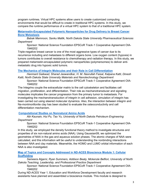program runtimes. Virtual HPC systems allow users to create customized computing environments that would be difficult to create in traditional HPC systems. In this study, we compare the runtime performance of a virtual HPC system to that of a traditional HPC system.

**[Metarrestin-Encapsulated Polymeric Nanoparticles for Drug Delivery to Breast Cancer](https://symposium.foragerone.com/ndepscor21/presentations/13171)  [Bone Metastasis](https://symposium.foragerone.com/ndepscor21/presentations/13171)**

*Babak Mamnoon, Sanku Mallik, North Dakota State University Pharmaceutical Sciences Department*

Sponsor: National Science Foundation EPSCoR Track-1 Cooperative Agreement OIA-1946202

Triple-negative breast cancer is one of the most aggressive types of cancer due to its recurrence including and metastasis to different organs bone. Low oxygen content (hypoxia) in tumors contributes to overall resistance to chemotherapy and radiation therapy. In this study, we prepared metarrestin-encapsulated polymeric nanoparticles (polymersomes) to deliver antimetastatic drug into hypoxic solid tumors.

#### **[The Mechanics of Integrin Molecules and their Role in Cell Differentiation](https://symposium.foragerone.com/ndepscor21/presentations/13108)**

*Hanmant Gaikwad, Sharad Jaswandkar, H. M. Nasrullah Faisal, Kalpana Katti, Dinesh Katti, North Dakota State University Materials and Nanotechnology Department*

Sponsor: National Science Foundation EPSCoR Track-1 Cooperative Agreement OIA-1946202

The Integrins couple the extracellular matrix to the cell cytoskeleton and facilitates cell migration, proliferation, and differentiation. Their role as mechanotransducer and signaling molecules implicates the cancer progression from the primary tumor to metastasis. For investigating the mechanotransduction of integrin in cell adhesion, simulation of integrin has been carried out using steered molecular dynamics. Also, the interaction between integrin and Na-montmorillonite clay has been studied to evaluate the osteoconductivity and cell differentiation mechanism.

#### **[Computational Studies on Nonnatural Amino Acids](https://symposium.foragerone.com/ndepscor21/presentations/14492)**

*Atir Kaunain, Hui Pu, Tao Yu, University of North Dakota Petroleum Engineering Department*

Sponsor: National Science Foundation EPSCoR Track-1 Cooperative Agreement OIA-1946202

In this study, we employed the density functional theory method to investigate structures and properties of six non-natural amino acids (NAA). Using Gaussian09, we optimized the geometries of NAA in the gas and aqueous solution phases. The atomic charges of NAA were calculated, and this information will be useful to understanding the nonbinding interactions between NAA and clay materials. Meanwhile, the HOMO and LUMO orbital information of each NAA is also investigated.

**[Map of Topics and Concepts Addressed in ND-ACES Bioscience Module 1: Cellular](https://symposium.foragerone.com/ndepscor21/presentations/13067)  [Scaffolding](https://symposium.foragerone.com/ndepscor21/presentations/13067)**

*Sameera Algarni, Ryan Summers, Addison Beaty, Mckenzie Belfiori, University of North Dakota Teaching, Leadership, and Professional Practice Department*

Sponsor: National Science Foundation EPSCoR Track-1 Cooperative Agreement OIA-1946202

During ND-ACES Year 1, Education and Workforce Development faculty and research assistants have planned and assembled a bioscience module. This module is designed to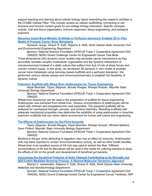support teaching and learning about cellular biology topics resembling the research activities in the CCSBE Cellular Pillar. This module centers on cellular scaffolding, connecting to cell structure and function content goals for pre-college biology instruction. Specific concepts include: Cell and tissue organization; immune responses; tissue engineering; and biological polymers.

#### **[Nanoclay based Bone-Mimetic Scaffolds in Perfusion bioreactor Enabled 3D In Vitro](https://symposium.foragerone.com/ndepscor21/presentations/13113)  [Model of Prostate Cancer Bone Metastasis](https://symposium.foragerone.com/ndepscor21/presentations/13113)**

*Haneesh Jasuja, Dinesh R. Katti, Kalpana S. Katti, North Dakota State University Civil and Environmental Engineering Department*

Sponsor: National Science Foundation EPSCoR Track-1 Cooperative Agreement OIA-

1946202, NDSU Grand Challenge Center for Engineered Cancer Test Beds Three-dimensional (3D) dynamic tumor models help elucidate cancer mechanisms as they accurately recreate complex multicellular organization and the dynamic interactions of microenvironment instead of a static culture that suffers from lack of role of shear forces and uneven nutrient supply. In this study, we developed 3D-dynamic in vitro model of prostate cancer bone metastasis using nanoclay-based scaffolds and a perfusion bioreactor. We performed various cellular assays and immunocytochemistry to establish the feasibility of dynamic culture.

#### **[Polymeric Scaffold with Wheat Bran Arabinoxylan for Tissue Engineering](https://symposium.foragerone.com/ndepscor21/presentations/13061)**

*Hayle Boechler, Taylor Stegman, Brooke Roeges, Khwaja Hossain, Mayville State University Biology Department*

Sponsor: National Science Foundation EPSCoR Track-1 Cooperative Agreement OIA-1946202

Wheat bran biopolymer can be used in the preparation of scaffold for tissue engineering. Arabinoxylan was extracted from wheat bran. Various concentrations of arabinoxylan will be mixed with chitosan and polygalacturonic acid separately. The prepared scaffolds will be analyzed for mechanical strength, porosity, and surface chemistry. Resulting scaffolds with adequate mechanical properties may determine the suitability of using arabinoxylan in bioactive polymeric scaffolds that can mimic native environment for human cell culture and engineering.

#### **[The Effects of Arabinoxylan on Gut Flora Immunity](https://symposium.foragerone.com/ndepscor21/presentations/14447)**

*Taylor Stegman, Brooke Roeges, Hayle Boechler, Khwaja Hossain, Michael Kjelland, Sean Pollack, Mayville State University Biology Department*

Sponsor: National Science Foundation EPSCoR Track-1 Cooperative Agreement OIA-1946202

Bacteria in the gut, while attributing to digestion, also has an effect on immunity. Arabinoxylan (AX) has been reported to contain immunomodulatory activity, as well as other health benefits. Wheat bran is an excellent source of AX and was used to extract this fiber. Different concentrations of AX and its derivatives will be used in the media for culturing bacteria to study the effects of AX on the growth and development of beneficial gut bacteria.

**[Uncovering the Dynamical Features of Actin Filament Contributing to its Strength and](https://symposium.foragerone.com/ndepscor21/presentations/13103)  [ADF/Cofilin Mediated Severing Process: A Steered Molecular Dynamics Approach](https://symposium.foragerone.com/ndepscor21/presentations/13103)**

*Sharad V. Jaswandkar, Kalpana S. Katti, Dinesh R. Katti, North Dakota State University Materials and Nanotechnology Department*

Sponsor: National Science Foundation EPSCoR Track-1 Cooperative Agreement OIA-1946202, NDSU Grand Challenge funded Center for Engineered Cancer Testbeds, NSF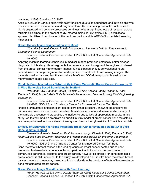#### grants no. 1229316 and no. 2019077

Actin is involved in various eukaryotic cells' functions due to its abundance and intrinsic ability to transition between a monomeric and polymeric form. Understanding how actin contributes to highly organized and complex processes continues to be a significant focus of research across multiple disciplines. In the present study, steered molecular dynamics (SMD) simulations approach is utilized to explore actin filament mechanics and its ADF/Cofilin mediated severing mechanism.

#### **[Breast Cancer Image Segmentation with U-net](https://symposium.foragerone.com/ndepscor21/presentations/14391)**

*Chanaka Sampath Cooray Bulathsinghalage, Lu Liu, North Dakota State University Computer Science Department*

Sponsor: National Science Foundation EPSCoR Track-1 Cooperative Agreement OIA-1946202

Applying machine learning techniques in medical images promises potentially better disease diagnosis. In this study, U-net segmentation network is used to segment the regions of interest from the breast cancer mammogram images. U-net is based on fully convolutional neural network used for image segmentation and optimized to work with fewer training images. The datasets used to train and test this model are MIAS and DDSM, two popular breast cancer mammogram image data sets.

#### **[Rhodiola Crenulata Induces Cytotoxicity in Bone Metastatic Breast Cancer Grown on 3D](https://symposium.foragerone.com/ndepscor21/presentations/13102)  [In Vitro Nano-clay Based Bone Mimetic Scaffold](https://symposium.foragerone.com/ndepscor21/presentations/13102)**

*Preetham Ravi, Haneesh Jasuja, Dipayan Sarkar, Kalidas Shetty, Dinesh R. Katti, Kalpana S. Katti, North Dakota State University Materials and Nanotechnology/Civil Engineering Department*

Sponsor: National Science Foundation EPSCoR Track-1 Cooperative Agreement OIA-

1946202, NDSU Grand Challenge Center for Engineered Cancer Test Beds Rhodiola crenulata is a tibetan plant-based extract that is recently shown to be effective for primary site breast cancer. Bone metastatic breast cancer is a fatal disease in which many of the available anticancer therapeutics are ineffective due to lack of appropriate models. In this study, we tested Rhodiola crenulata on our 3D in vitro model of breast cancer bone metastasis. We have performed various cellular bioassays to observe the cytotoxicity of Rhodiola crenulate.

#### **Efficacy of Metarrestin for [Bone Metastatic Breast Cancer Evaluated Using 3D In Vitro](https://symposium.foragerone.com/ndepscor21/presentations/13115)  [Bone Mimetic Testbed](https://symposium.foragerone.com/ndepscor21/presentations/13115)**

*Sibanwita Mohanty, Preetham Ravi, Haneesh Jasuja, Dinesh R. Katti, Kalpana S. Katti, North Dakota State University Materials and Nanotechnology/Civil Engineering Department*

Sponsor: National Science Foundation EPSCoR Track-1 Cooperative Agreement OIA-

1946202, NDSU Grand Challenge Center for Engineered Cancer Test Beds Bone metastatic breast cancer is the leading cause of breast cancer deaths due to poor prognosis. Metarrestin is a perinucleolar compartment inhibitor which has been tested on primary site pancreatic, prostate, and breast cancer. However its efficacy for bone metastatic breast cancer is still undefined. In this study, we developed a 3D in vitro bone metastatic breast cancer model using nanoclay based scaffolds to elucidate the cytotoxic effects of Metarrestin on bone metastasized breast cancer.

#### **[Breast Cancer Image Classification with Deep Learning](https://symposium.foragerone.com/ndepscor21/presentations/13086)**

*Megan Heeren, Lu Liu, North Dakota State University Computer Science Department* Sponsor: National Science Foundation EPSCoR Track-1 Cooperative Agreement OIA-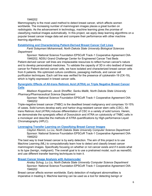#### 1946202

Mammography is the most used method to detect breast cancer, which affects women worldwide. The increasing number of mammogram images places a great burden on radiologists. As the advancement in technology, machine learning gives the promise of classifying medical images automatically. In this project, we apply deep learning algorithms on a popular breast cancer image data set and compare their performance with other machine learning algorithms.

#### **[Establishing and Characterizing Patient-Derived Breast Cancer Cell Lines](https://symposium.foragerone.com/ndepscor21/presentations/13158)**

*Farid Solaymani Mohammadi, North Dakota State University Biological Sciences Department*

Sponsor: National Science Foundation EPSCoR Track-1 Cooperative Agreement OIA-

1946202, NDSU Grand Challenge Center for Engineered Cancer Test Beds Patient-derived cancer cell lines are irreplaceable resources to reflect human cancer's nature and to develop personalized medicines. To validate the capacity of 3D in vitro testbed of breast cancer for Patient-derived cancer cells, we have isolated and characterized breast cancer cells from 6 patients. We optimized culture conditions, passaging methods, and cancer cell

purification techniques. Each cell line was verified for the presence of cytokeratin-19 (CK-19), which is highly expressed in breast cancer cells.

#### **[Synergistic Effects of All-trans Retinoic Acid \(ATRA\) on Triple Negative Breast Cancer](https://symposium.foragerone.com/ndepscor21/presentations/14270)  [Cells](https://symposium.foragerone.com/ndepscor21/presentations/14270)**

*Madison Koppelman, Jacob Shreffler, Sanku Mallik, North Dakota State University Pharmacy/Pharmaceutical Science Department*

Sponsor: National Science Foundation EPSCoR Track-1 Cooperative Agreement OIA-1946202

Triple-negative breast cancer (TNBC) is the deadliest breast malignancy and comprises 10-15% of cases. Solid tumors develop early and harbor drug-resistant cancer stem cells (CSC). Alltrans Retinoic Acid (ATRA) induces differentiation of CSC in a variety of solid tumors. Herein, we demonstrate the synergistic effect of Doxorubicin and ATRA on cytotoxicity of TNBC cells in a monolayer and describe the methods of ATRA quantifications by High-performance Liquid Chromatography (HPLC).

#### **[Leveraging Transfer Learning on Classifying Breast Cancer Images](https://symposium.foragerone.com/ndepscor21/presentations/14334)**

*Clayton Klemm, Lu Liu, North Dakota State University Computer Science Department* Sponsor: National Science Foundation EPSCoR Track-1 Cooperative Agreement OIA-1946202

The best way to treat breast cancer is by early detection. The aim of this project is to use Machine Learning (ML) to computationally learn how to detect and classify breast cancer mammogram images. Specifically focusing on whether or not cancer exists and if it exists what is its type (benign, malignant). The overall goal is to use a pretrained model, such as resnet50, and use different transfer learning techniques to train it.

#### **[Breast Cancer Image Analysis with Autoencoder](https://symposium.foragerone.com/ndepscor21/presentations/13046)**

*Ansley Schug, Lu Liu, North Dakota State University Computer Science Department* Sponsor: National Science Foundation EPSCoR Track-1 Cooperative Agreement OIA-1946202

Breast cancer affects women worldwide. Early detection of malignant abnormalities is imperative in treating it. Machine learning can be used as a tool for detecting benign or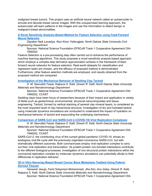malignant breast tumors. This project uses an artificial neural network called an autoencoder to encode and decode breast cancer images. With this unsupervised learning approach, the autoencoder will learn patterns in the images and use this information to detect benign or malignant breast abnormalities.

#### **[A Novel Sensitivity Analysis-Based Method for Feature Selection using Feed-Forward](https://symposium.foragerone.com/ndepscor21/presentations/13149)  [Neural Networks](https://symposium.foragerone.com/ndepscor21/presentations/13149)**

*Dayakar Naik Lavadiya, Ravi Kiran Yellavajjala, North Dakota State University Civil Engineering Department*

Sponsor: National Science Foundation EPSCoR Track-1 Cooperative Agreement OIA-1946202

Feature Selection is a pre-processing step often carried out to enhance the performance of machine learning algorithms. This study proposes a novel sensitivity analysis-based approach which employs a complex-step derivative approximation scheme in the framework of feedforward neural networks for feature selection. Real-world datasets for classification and regression tasks are chosen, and the efficacy of proposed method is demonstrated. Furthermore, other feature selection methods are employed, and results obtained from the proposed method are compared.

#### **[Investigation of the Mechanical Behavior of Swelling Clay Tactoid](https://symposium.foragerone.com/ndepscor21/presentations/14302)**

*H. M. Nasrullah Faisal, Kalpana S. Katti, Dinesh R. Katti, North Dakota State University Materials and Nanotechnology Department*

Sponsor: National Science Foundation EPSCoR Track-1 Cooperative Agreement OIA-1946202, CCAST

Swelling clays have been focus of researchers because of their impact and application in variety of fields such as geotechnical, environmental, structural nanocomposites and tissue engineering. Tactoid, formed by vertical stacking of several clay mineral layers, is considered as the most important level of clay hierarchical structure. Investigation of dry and hydrated tactoid using molecular dynamics simulations are conducted to understand the impact of hydration on mechanical behavior of tactoid and expounding the underlying mechanisms.

#### **[Comparison of SARS-CoV and SARS-CoV-2 \(COVID-19\) Viral Replication Complexes](https://symposium.foragerone.com/ndepscor21/presentations/14303)**

*H. M. Nasrullah Faisal, Kalpana S. Katti, Dinesh R. Katti, North Dakota State University Materials and Nanotechnology Department*

Sponsor: National Science Foundation EPSCoR Track-1 Cooperative Agreement OIA-1946202, CCAST

SARS-CoV-2, the contributing virus of the current global pandemic COVID-19, shows an analogous viral life cycle with the previously originated coronavirus SARS-CoV, but with dramatically different outcomes. Both coronaviruses employ viral replication complex to carry out their viral replication and transcription. As protein-protein non-bonded interactions contribute to the different biological processes, investigation of non-structural protein interactions within the coronaviral replication complex by molecular dynamics simulations can potentially allude to their differences in replication behavior.

#### **[3D In Vitro Nanoclay-Based Breast Cancer Bone Metastasis Testbed Using Patient-](https://symposium.foragerone.com/ndepscor21/presentations/13117)[Derived Tissues](https://symposium.foragerone.com/ndepscor21/presentations/13117)**

*Haneesh Jasuja, Farid Solaymani Mohammadi, Jiha Kim, Anu Gaba, Dinesh R. Katti, Kalpana S. Katti, North Dakota State University Materials and Nanotechnology Department* Sponsor: National Science Foundation EPSCoR Track-1 Cooperative Agreement OIA-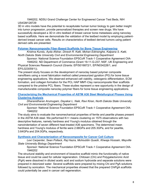1946202, NDSU Grand Challenge Center for Engineered Cancer Test Beds, NIH U54GM128729

3D in vitro models have the potential to recapitulate human tumor biology to gain better insight into tumor progression, provide personalized therapies and screen new drugs. We have successfully developed a 3D in vitro testbed of breast cancer bone metastasis using nanoclay based scaffolds. Here we demonstrate the validation of the testbed model by employing patientderived breast cancer cells. Results on characteristics of testbed derived tumors using patient derived cells are presented.

#### **[Polymer Nanocomposite Fiber-Based Scaffolds for Bone Tissue](https://symposium.foragerone.com/ndepscor21/presentations/14040) Engineering**

*Krishna Kundu, Ayda Afshar, Dinesh R. Katti, Mohan Edirisinghe, Kalpana S. Katti, North Dakota State University Civil and Environmental Engineering Department*

Sponsor: National Science Foundation EPSCoR Track-1 Cooperative Agreement OIA-

1946202, ND Department of Commerce (Grant 19-11-G-237, NSF, UK Engineering and Physical Sciences Research Council (Grants: EP/S016872/1, EP/N034228/1, and EP/L023059/1)).

The present study focuses on the development of nanoclay based polymer composite nanofibers using a novel fabrication method called pressurized gyration (PG) for bone tissue engineering applications. We observed enhanced cell viability, osteogenic differentiation, ECM formation, and collagen formation for the PCL HAP MMT-Clay nanocomposite fiber scaffolds compared to the pristine PCL fibers. These studies represent a new opportunity in the design of manufacturable composite nanoclay polymer fibers for bone tissue engineering applications.

#### **[Characterizing the Mechanical Properties of ASTM A36 Steel Metallurgical Phases Using](https://symposium.foragerone.com/ndepscor21/presentations/14299)  [Clustering Analysis](https://symposium.foragerone.com/ndepscor21/presentations/14299)**

*Dharanidharan Arumugam, Dayakar L. Naik, Ravi Kiran, North Dakota State University Civil and Environmental Engineering Department*

Sponsor: National Science Foundation EPSCoR Track-1 Cooperative Agreement OIA-1946202

The study aims to evaluate the nanomechanical properties of ferrite and pearlite phases present in the ASTM A36 steel. We performed K++ means clustering on 1575 observations with two descriptive features, namely hardness and Young's modulus obtained through the nanoindentation of seven different heat-treated A36 specimens. The determined mean hardness and Young's modulus of ferrite were 2.68GPa and 205.3GPa, and for pearlite, 3.64GPa and 204.0GPa, respectively.

#### **[Synthesis and Characterization of Nanocomposite for Cancer Cell Culture](https://symposium.foragerone.com/ndepscor21/presentations/13077)**

*Lexi Carpenter, Sean Pollack, Raj Hazra, Mohiuddin Quadir, Khwaja Hossain, Mayville State University Biology Department*

Sponsor: National Science Foundation EPSCoR Track-1 Cooperative Agreement OIA-1946202

The structural stability and environment of bioactive scaffold mimic the functionality of native tissue and could be used for cellular regeneration. Chitosan (Chi) and Polygalacturonic Acid (PgA) were dissolved in diluted acetic acid and sodium hydroxide and separate solutions were prepared in deionized water. Several scaffolds were prepared by mixing Chi and PgA solutions followed by sonication. The mechanical properties showed that the prepared ChiPgA scaffolds could potentially be used in cancer cell regeneration.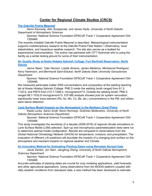# **Center for Regional Climate Studies (CRCS)**

#### **[The Oakville Prairie Mesonet](https://symposium.foragerone.com/ndepscor21/presentations/13072)**

*Aaron Kennedy, Alec Sczepanski, and James Hyde, University of North Dakota Department of Atmospheric Sciences*

Sponsor: National Science Foundation EPSCoR Track-1 Cooperative Agreement OIA-1355466

The recently installed Oakville Prairie Mesonet is described. Metoeorlogical instrumentation supports multidisciplinary research at the Oakville Prairie Field Station / Observatory, local stakeholders, and hazardous weather research. The site also serves as a testbed for experimental instrumentation. The author has partnered with OTT Hydromet who is using the facility as a winter testing ground for some of their instrumentation.

#### **[Air Quality Study at Nueta Hidatsa Sahnish College, Fort Berthold Reservation, North](https://symposium.foragerone.com/ndepscor21/presentations/13001)  [Dakota](https://symposium.foragerone.com/ndepscor21/presentations/13001)**

*Janna Steen, Tyler Hanson, Lizette Alvarez, James Medeiros, Montserrat Rodriguez, Kerry Hartmann, and Bernhardt Saini-Eidukat, North Dakota State University Geosciences Department*

Sponsor: National Science Foundation EPSCoR Track-1 Cooperative Agreement OIA-1355466

We measured particulate matter (PM) concentrations and composition at the welding teaching lab at Nueta Hidatsa Sahnish College. PM2.5 inside the welding booth ranged from 61.2- 1122.6, and PM10 from 210.7-1268.4, micrograms/m^3. Outside the welding booth, PM2.5 ranged 68.7-1032.8 micrograms/m^3. ICP-MS analysis showed post air system renovation, significantly lower trace element (Pb, As, Mn, Co, Be, etc.) concentrations in the PM, and others were below detection.

**[Land Surface Model Impacts on the Atmosphere in the Northern Great Plains](https://symposium.foragerone.com/ndepscor21/presentations/14297)**

*Kaela Lucke, Aaron Scott, Aaron Kennedy, Gretchen Mullendore, University of North Dakota Atmospheric Sciences Department*

Sponsor: National Science Foundation EPSCoR Track-1 Cooperative Agreement OIA-1355466

This study investigates the sensitivity of a decade (2009-2018) of regional climate simulations to Land Surface Model (LSM) selection. Spin-up and microphysics parameterization tests were run to determine optimal model configuration. Results are compared to observations from the Global Historical Climatology Network (GHCN) for temperature, moisture, and precipitation. The evaluation of different LAI predictors will elucidate the impacts of a changing land surface on the atmosphere and resultant impacts on regional weather and Climate.

#### **[An Innovative Method for Estimating Planting Dates using Remotely Sensed Data](https://symposium.foragerone.com/ndepscor21/presentations/13114)**

*Jacob Zanker, Jon Starr, Jianglong Zhang, University of North Dakota Atmospheric Sciences Department*

Sponsor: National Science Foundation EPSCoR Track-1 Cooperative Agreement OIA-1355466

Accurate estimates of planting dates are crucial for crop modeling applications, yield forecasts and other agricultural applications. Using observations from the MODIS platform coupled with daily weather conditions from reanalysis data, a new method has been developed to estimate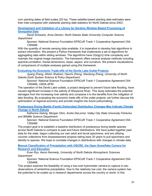corn planting dates at field scales (25 ha). These satellite-based planting date estimates were then inter-compared with statewide planting date statistics for North Dakota since 2003.

**[Development and Validation of a Library for Iterative Window-Based Processing of](https://symposium.foragerone.com/ndepscor21/presentations/13142)  [Geospatial Data](https://symposium.foragerone.com/ndepscor21/presentations/13142)**

*David Schwartz, Anne Denton, North Dakota State University Computer Science Department*

Sponsor: National Science Foundation EPSCoR Track-1 Cooperative Agreement OIA-1355466

With the quantity of remote sensing data available, it is imperative to develop fast algorithms to extract information. We present a Python framework that implements a set of algorithms for aggregating data within sliding windows. The algorithms have O(log(n)) time complexity and maintain the original image resolution. The framework offers several analysis methods including spectral-correlation, fractal-dimensions, slope, aspect, and curvature. We present visualizations of comparisons of multiple analyses gained using this framework.

#### **[Evaluating the Economic Trade-offs of the Devils Lake Outlet Projects](https://symposium.foragerone.com/ndepscor21/presentations/13074)**

*Jiyang Zhang, Afshin Shabani, Haochi Zheng, Xiaodong Zhang, University of North Dakota Earth System Science & Policy Department*

Sponsor: National Science Foundation EPSCoR Track-1 Cooperative Agreement OIA-1355466, USDA AFRI

The operation of the Devils Lake outlets, a project designed to prevent future lake flooding, have caused significant increase in the salinity of Sheyenne River. This study estimates the potential damages from the increasing river salinity and compares it to the benefits from the mitigation of lake flooding. By evaluating the economic trade-offs of the outlet projects, we further discuss the optimization of regional economy and provide insights into future policymaking.

**[Predaceous Diving Beetle \(Family Dytiscidae\) Distribution Changes May Indicate Climate](https://symposium.foragerone.com/ndepscor21/presentations/14394)  [Change in North Dakota](https://symposium.foragerone.com/ndepscor21/presentations/14394)**

*Katherine Gehrig, Morgan Ohm, Andre DeLorme, Valley City State University Fisheries and Wildlife Science Department*

Sponsor: National Science Foundation EPSCoR Track-1 Cooperative Agreement OIA-1355466

The project goal is to establish a baseline distribution of predaceous diving beetle species across North Dakota to compare to past and future distributions. We have pulled together past data for the state, begun collecting our own adult and larval specimens, and are utilizing voucher collections from bioassessment projects dating back 20 years to pull specimens and identify to species. We hope to correlate changes in distributions with changes in climate data.

**[Manual Classification of Precipitation with OSCRE, the Open Snowflake Camera for](https://symposium.foragerone.com/ndepscor21/presentations/13078)  [Research and Education](https://symposium.foragerone.com/ndepscor21/presentations/13078)**

*Evan Rys, Aaron Kennedy, University of North Dakota Atmospheric Sciences Department*

Sponsor: National Science Foundation EPSCoR Track-1 Cooperative Agreement OIA-1355466

This project explores the feasibility of using a low-cost hydrometer camera to capture in-situ observations of wintertime precipitation. Due to the relatively low cost, the camera system has the potential to be scaled up in research departments across the country or world. In this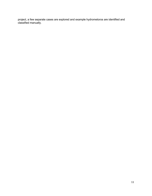project, a few separate cases are explored and example hydrometoros are identified and classified manually.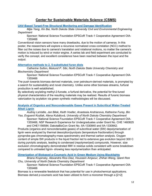## **Center for Sustainable Materials Science (CSMS)**

#### **[UAV-Based Target-Free Structural Monitoring and Damage Identification](https://symposium.foragerone.com/ndepscor21/presentations/14413)**

*Mijia Yang, Xin Bai, North Dakota State University Civil and Environmental Engineering Department*

Sponsor: National Science Foundation EPSCoR Track-1 Cooperative Agreement OIA-1355466

Conventional vision sensors have many drawbacks, due to the motion of cameras. In this poster, the researchers will explore a recursive normalized cross correlation (NCC) method to filter out the noises due to camera's translation and rotational motions, no matter the camera's motion is induced by wind or motor engine. A series lab and field experiment are conducted to verify the concept, and excellent consistence have been reached between the input and the output.

#### **[Alternative methods to 2, 5-substituted furan diols](https://symposium.foragerone.com/ndepscor21/presentations/13139)**

*Catherine Sutton, Mukund P. Sibi, North Dakota State University Chemistry and Biochemistry Department*

Sponsor: National Science Foundation EPSCoR Track-1 Cooperative Agreement OIA-1355466

The push towards biomass-derived materials, over petroleum-derived materials, is prompted by a search for sustainability and novel chemistry. Unlike some other biomass streams, furfural production is well established.

By selectively acylating methyl-2-furoate, a furfural derivative, the potential for fine-tuned physical characteristics of the resulting materials may be realized. Results of furanic biomass valorization by acylation via green synthetic methodologies will be discussed.

#### **[Analysis of Organics and Noncondensable Gases Present in Subcritical Water-Treated](https://symposium.foragerone.com/ndepscor21/presentations/12614)  [Alkali Lignin](https://symposium.foragerone.com/ndepscor21/presentations/12614)**

*Audrey LaVallie, Jan Bilek, Keith Voeller, Anastasia Andrianova, Katherine Furey, Bin Yao, Evguenii Kozliak, Alena Kubátová, University of North Dakota Chemistry Department* Sponsor: National Science Foundation EPSCoR Track-1 Cooperative Agreement OIA-1355466, NSF Research Experience for Undergraduates under Grant No. CHE 1460825

and CHE1156584; DakotaBioCon Grant No. IIA-1330840 and IIA-1330842;

Products (organics and noncondensable gases) of subcritical water (SW) depolymerization of lignin were analyzed by thermal desorption/pyrolysis (temperature fractionation) through pyroprobe-gas chromatography-mass spectrometry and thermal carbon analysis. Oxygen content of simple SW products in the liquid fraction led to extensive gas evolution beyond 300 C during pyrolytic analysis, leading to condensed (repolymerized) compounds. However, size exclusion chromatography demonstrated MW in residue solids consistent with some breakdown compared to untreated lignin- showing less repolymerization than anticipated.

#### **[Dimerization of Biobased p-Coumaric Acid in Green Medium Using Blacklights](https://symposium.foragerone.com/ndepscor21/presentations/12658)**

*Briana Krupinsky, Alexandra Rios Diaz, Houssein Amjaour, Zhihan Wang, Qianli Rick Chu, University of North Dakota Chemistry Department*

Sponsor: National Science Foundation EPSCoR Track-1 Cooperative Agreement OIA-1355466

Biomass is a renewable feedstock that has potential for use in photochemical applications. Biomass derived *p*-coumaric acid has been utilized to form a monomer through a [2+2]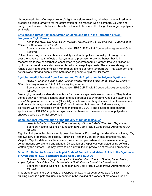photocycloaddition after exposure to UV light. In a slurry reaction, brine has been utilized as a greener solvent alternative for the optimization of this reaction with a comparative yield and purity. This biobased photodimer has the potential to be a novel building block in green polymer synthesis.

#### **[Efficient and Direct Acetoacetylation of Lignin and Use in the Formation of Non-](https://symposium.foragerone.com/ndepscor21/presentations/13127)Isocyanate [Rigid Foams](https://symposium.foragerone.com/ndepscor21/presentations/13127)**

*Alexander Hart, Eric Krall, Dean Webster, North Dakota State University Coatings and Polymeric Materials Department*

Sponsor: National Science Foundation EPSCoR Track-1 Cooperative Agreement OIA-1355466

Polyurethane polymers have become widely used in the polymer industry. Growing concern over the adverse health effects of isocyanates, a precursor to polyurethanes, has led researchers to look at alternative chemistries to generate foams. Catalyst-free valorization of lignin by transacetoacetylation was achieved in a one-pot synthesis. The acetoacetate group reacts quickly and exothermically with primary amines at room temperature. This exotherm and polysiloxane blowing agents were both used to generate rigid cellular foams.

#### **[Cyclobutanediol Derived from Biomass and Their Application in Polymer Synthesis](https://symposium.foragerone.com/ndepscor21/presentations/13081)**

*Rahul K. Shahni, Micah Mabin, Zhihan Wang, Muneer Shaik, Angel Ugrinov, Qianli R. Chu, University of North Dakota Chemistry Department*

Sponsor: National Science Foundation EPSCoR Track-1 Cooperative Agreement OIA-1355466

Semi-rigid, thermally stable, diols suitable for materials synthesis are uncommon. They bridge the gap between flexible aliphatic chain and rigid aromatic counterparts. One such example is trans-1,3-cyclobutane dimethanol (CBDO-1), which was readily synthesized from trans-cinnamic acid derived from agro-residues via [2+2] a solid-state photoreaction. A diverse array of polyesters were synthesized by polycondensation of CBDO-1 and diacids to demonstrate applications of CBDO-1 in polymer synthesis. Furthermore, these new series of polyesters showed desirable thermal properties.

#### **[Computational Determination of the Rigidity of Single Molecules](https://symposium.foragerone.com/ndepscor21/presentations/12889)**

*Joseph Robertson, Qianli R. Chu, University of North Dakota Chemistry Department* Sponsor: National Science Foundation EPSCoR Track-1 Cooperative Agreement OIA-1355466

Rigidity of single molecules is simply described here by Eq. 1 using Van der Waals volume, VW, and two new properties, the Rigidity Factor, Rgf, and the Van der Waals potential volume, VWpot. VWpot is defined as the minimum volume occupied when all local minimum energy conformations are overlaid and aligned. Calculation of VWpot was completed using software written by the authors. Rgf may prove to be a useful tool in prediction of materials properties.

#### **[Direct Excitation to Access the Triplet State of Fumaric and Maleic Acids in the Synthesis](https://symposium.foragerone.com/ndepscor21/presentations/14355)  [of Cyclobutane-1,2,3,4-tetracarboxylic Acid Using ECO-UV](https://symposium.foragerone.com/ndepscor21/presentations/14355)**

*Dominic N. Nkemngong, Tiffany Shiu, Quintin Elliott, Rahul K. Shahni, Micah Mabin, Angel Ugrinov, Qianli Rick Chu, University of North Dakota Chemistry Department*

Sponsor: National Science Foundation EPSCoR Track-1 Cooperative Agreement OIA-1355466

This study presents the synthesis of cyclobutane-1,2,3,4-tetracarboxylic acid (CBTA-1). This building block is a potential useful monomer in the making of a variety of materials such as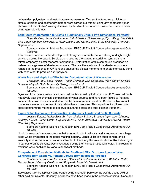polyamides, polyesters, and metal–organic frameworks. Two synthetic routes exhibiting a simple, efficient, and ecofriendly method were carried out without using any photocatalyst or photosensitizer. CBTA-1 was synthesized by the direct excitation of maleic and fumaric acids using germicidal lamps.

#### **[Solid-State Photoreaction to Create a Functionally Unique Two-Dimensional Polyester](https://symposium.foragerone.com/ndepscor21/presentations/14253)**

*Brent Kastern, Jenna Puttkammer, Rahul Shahni, Zhihan Wang, Zijun Wang, Qianli Rick Chu, Angel Ugrinov, University of North Dakota and North Dakota State University Chemistry Departments*

Sponsor: National Science Foundation EPSCoR Track-1 Cooperative Agreement OIA-1355466

This research advances the development of polymer materials that are strong and lightweight as well as being bio-based. Sorbic acid is used as the starting material for synthesizing a tetrafluorophenyl diester monomer compound. Cystallization of this compound produced an ordered arrangement of diester monomers. The reactive carbons of the diester monomers reacted in the presence of UV light and caused the diester monomers to photochemically bond with each other to produce a 2D polymer.

#### **[Wheat Bran and Maple Leaf Biochar for Decontamination of Wastewater](https://symposium.foragerone.com/ndepscor21/presentations/12997)**

*Creighton Pfau, Sean Pollack, Trevor Gravseth, Lexi Carpenter, Niloy Sarker, Khwaja Hossain, Mayville State University Biology Department*

Sponsor: National Science Foundation EPSCoR Track-1 Cooperative Agreement OIA-1355466

Dyes and toxic heavy metals are major pollutants caused by industrial run off. These pollutants negatively alter the chemical composition of water sources and have been linked to increase cancer rates, skin diseases, and slow mental development in children. Biochar, a bioproduct made from waste can be used to adsorb to these molecules. This experiment explores using spectrophotometric methods to observe pollutants before and after biochar treatment.

#### **[Lignin Solubilization and Fractionation in Aqueous Aprotic](https://symposium.foragerone.com/ndepscor21/presentations/13118) and Protic Solvents**

*Jessica Emond, Nafisa Bala, Bin Yao, Lindsey Bottom, Brooke Meyer, Lacy Lilleboe, Audrey LaVallie, Surojit Gupta, Evguenii Kozliak, Alena Kubatova, University of North Dakota Chemistry Department*

Sponsor: National Science Foundation EPSCoR Track-1 Cooperative Agreement OIA-1355466

Lignin is an organic macromolecule that is found in plant cell walls and is recovered as a large scale waste byproduct of the paper making industry. Lignin utilization often centers on its solubility and fractionation in various solvents. In this study the solubilization of Kraft alkali lignin in various organic solvents was investigated using their various ratios with water. The resulting fractions were analyzed by various analytical methods.

**[Comparison of Epoxidation Methods for Bio-Based Oils: Dioxirane Intermediates](https://symposium.foragerone.com/ndepscor21/presentations/13135)  [Generated from Oxone vs. Peracid Derived from Hydrogen Peroxide](https://symposium.foragerone.com/ndepscor21/presentations/13135)**

*Raul Setien, Shokoofeh Ghasemi, Ghasideh Pourhashem, Dean C. Webster, North Dakota State University Coatings and Polymeric Materials Department*

Sponsor: National Science Foundation EPSCoR Track-1 Cooperative Agreement OIA-1355466

Epoxidized Oils are typically synthesized using hydrogen peroxide, as well as acetic acid or other acid equivalents. Recently, advances have been made in the process of using Oxone and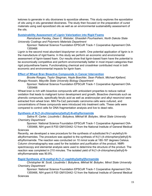ketones to generate in situ dioxiranes to epoxidize alkenes. This study explores the epoxidation of oils using in situ generated dioxiranes. The study then focused on the preparation of cured materials using said epoxidized oils as well as an environmental sustainability assessment of the oils.

#### **[Sustainability Assessment of Lignin Valorization into Rigid Foams](https://symposium.foragerone.com/ndepscor21/presentations/13153)**

*Ramsharan Pandey, Dean C. Webster, Ghasideh Pourhashem, North Dakota State University Coatings and Polymeric Materials Department*

Sponsor: National Science Foundation EPSCoR Track-1 Cooperative Agreement OIA-1355466

Lignin is the second most abundant biopolymer on earth. One potential application of lignin is in the manufacture of rigid foams. In this study we perform an economic and environmental assessment of lignin-based foam. Our results show that lignin-based foam have the potential to be economically competitive and perform environmentally better in most impact categories than rigid polyurethane foams. Functionalizing chemical and crosslinker contributed most in both economic and environmental impacts for lignin foam.

#### **[Effect of Wheat Bran Bioactive Compounds in Cancer Intervention](https://symposium.foragerone.com/ndepscor21/presentations/13073)**

*Brooke Roeges, Taylor Stegman, Hayle Boechler, Sean Pollack, Michael Kjelland, Khwaja Hossain, Mayville State University Biology Department*

Sponsor: National Science Foundation EPSCoR Track-1 Cooperative Agreement OIA-1355466

Wheat bran is rich with bioactive compounds with antioxidant properties to reduce radical oxidation that leads to malignant tumor development and growth. Bioactive chemicals such as phenolic compounds, specifically ferulic acid as well as arabinoxylan and alkyl resorcinol were extracted from wheat bran. MIA Pa-Ca2 pancreatic carcinoma cells were cultured, and concentrations of these compounds were introduced into treatment cells. These cells were compared to control cells for DNA fragmentation analysis and live to dead ratio.

#### **[Synthesis of N-\[1-\(4-chlorophenyl\)ethyl\]-N-ethylformamide](https://symposium.foragerone.com/ndepscor21/presentations/14682)**

*Salina R. Carter, Lioudmila I. Bobyleva, Mikhail M. Bobylev, Minot State University Chemistry Department*

Sponsor: National Science Foundation EPSCoR Track-1 Cooperative Agreement OIA-

1355466, NIH grant 8 P20 GM103442-12 from the National Institute of General Medical **Sciences** 

Recently, we developed a new procedure for the synthesis of substituted N-(1-arylethyl)-Nalkylformamides. The procedure was applied to the synthesis of N-[1-(4-chlorophenyl)ethyl]-Nethylformamide. The reaction was conducted on 10 mmol scale at 180-187 degrees Celsius. Column chromatography was used for the isolation and purification of the product. NMRspectroscopy and elemental analysis were used to determine the structure of the product. The reaction was completed in 210 minutes. The isolated yield of N-[1-(4-chlorophenyl)ethyl]-Nethylformamaide was 90.8%.

#### **[Rapid Synthesis of N-methyl-N-\[1-\(1-naphthyl\)ethyl\]formamide](https://symposium.foragerone.com/ndepscor21/presentations/13087)**

*Christopher M. Scott, Lioudmila I. Bobyleva, Mikhail M. Bobylev, Minot State University Chemistry Department*

Sponsor: National Science Foundation EPSCoR Track-1 Cooperative Agreement OIA-

1355466, NIH grant 8 P20 GM103442-12 from the National Institute of General Medical Sciences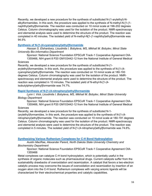Recently, we developed a new procedure for the synthesis of substituted N-(1-arylethyl)-Nalkylformamides. In this work, the procedure was applied to the synthesis of N-methyl-N-[1-(1 naphthyl)ethyl]formamide. The reaction was conducted on 10 mmol scale at 196-202 degrees Celsius. Column chromatography was used for the isolation of the product. NMR-spectroscopy and elemental analysis were used to determine the structure of the product. The reaction was completed in 40 minutes. The isolated yield of N-methyl-N[1-(1-naphthyl)ethyl]formamide was 94.5%

#### **[Synthesis of N-\[1-\(4-cyanophenyl\)ethyl\]formamide](https://symposium.foragerone.com/ndepscor21/presentations/13060)**

*Hassan S. Elshanbary, Lioudmila I. Bobyleva, MS, Mikhail M. Bobylev, Minot State University Bio-informatics Department*

Sponsor: National Science Foundation EPSCoR Track-1 Cooperative Agreement OIA-

1355466, NIH grant 8 P20 GM103442-12 from the National Institute of General Medical **Sciences** 

Recently, we developed a new procedure for the synthesis of substituted N-(1 arylethyl)formamides. In this work, the procedure was applied to the synthesis of N-[1-(4 cyanophenyl)ethyl]formamide. The reaction was conducted on 10 mmol scale at 180-193 degrees Celsius. Column chromatography was used for the isolation of the product. NMRspectroscopy and elemental analysis were used to determine the structure of the product. The reaction was completed in 10 minutes. The isolated yield of N-ethyl-N-[1-(4 isobutylphenyl)ethyl]formamide was 74.7%.

#### **[Rapid Synthesis of N-\[1-\(4-nitrophenyl\)ethyl\]formamide](https://symposium.foragerone.com/ndepscor21/presentations/13056)**

*Lynn I. Vick, Lioudmila I. Bobyleva, MS, Mikhail M. Bobylev, Minot State University Biology Department*

Sponsor: National Science Foundation EPSCoR Track-1 Cooperative Agreement OIA-1355466, NIH grant 8 P20 GM103442-12 from the National Institute of General Medical

#### **Sciences**

Recently, we developed a new procedure for the synthesis of substituted N-1- (arylethyl)formamides. In this work, the procedure was applied to the synthesis of N-[1-(4 nitrophenyl)ethyl]formamide. The reaction was conducted on 10 mmol scale at 180-191 degrees Celsius. Column chromatography was used for the isolation of the product. NMR-spectroscopy and elemental analysis were used to determine the structure of the product. The reaction was completed in 5 minutes. The isolated yield of N-[1-(4-nitrophenyl)ethyl]formamide was 74.6%.

#### **[Synthesizing Various Ruthenium Complexes for C-H Bond Hydroxylation](https://symposium.foragerone.com/ndepscor21/presentations/13112)**

*Austin MacRae, Alexander Parent, North Dakota State University Chemistry and Biochemistry Department*

Sponsor: National Science Foundation EPSCoR Track-1 Cooperative Agreement OIA-1355466

Metal complexes can catalyze C-H bond hydroxylation, which is potentially useful in the synthesis of organic molecules such as pharmaceutical drugs. Current catalysts suffer from the sustainability drawbacks of overoxidation and racemization. A catalyst that favors a two-electron catalytic process may overcome the issues of overoxidation and racemization by insertion of an oxygen atom into the C-H bond. Ruthenium complexes with varying anionic ligands will be characterized for their electrochemical properties and catalytic capabilities.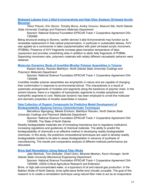#### **[Biobased Latexes from 3-Allyl-5-vinylveratrole and High Oleic Soybean Oil-based Acrylic](https://symposium.foragerone.com/ndepscor21/presentations/13138)  [Monomer](https://symposium.foragerone.com/ndepscor21/presentations/13138)**

*Yehor Polunin, Eric Serum, Timothy Burns, Andriy Voronov, Mukund Sibi, North Dakota State University Coatings and Polymeric Materials Department*

Sponsor: National Science Foundation EPSCoR Track-1 Cooperative Agreement OIA-1355466

Being structural analog to Styrene, vanillin derived 3-allyl-5vinylveratrole may function as its renewable replacement in free radical polymerization, in particular in sustainable latexes. AVV was applied as a comonomer in latex copolymerization with plant oil-based acrylic monomers (POBMs). Presence of AVV fragments increase glass transition temperature of latex copolymers and provides crosslinking sites in addition to allylic fatty fragments of POBMs. Depending monomers ratio, polymeric materials with widely different viscoelastic behavior were obtained.

#### **[Molecular Dynamics Study of Invertible Micellar Polymer Assemblies in Toluene](https://symposium.foragerone.com/ndepscor21/presentations/13146)**

*Kweeni Iduoku, Rasulev Bakhtiyor, North Dakota State University Coatings and Polymeric Materials Department*

Sponsor: National Science Foundation EPSCoR Track-1 Cooperative Agreement OIA-1355466

Invertible micellar polymer assemblies are amphiphilic in nature and are capable of changing their conformation in response to environmental stimuli. This characteristic is a result of systematic arrangements of moieties and segments along the backbone of polymer chain. In the solvent toluene, there is a migration of hydrophobic segments to micellar peripheral and hydrophilic segments to core. Molecular dynamic has been employed to unveil the molecular and atomistic properties of micellar assemblies in toluene.

#### **[Data Collection of Organic Compounds for Predictive Model Development of](https://symposium.foragerone.com/ndepscor21/presentations/13155)  [Biodegradability Applying Various Cheminformatic Techniques](https://symposium.foragerone.com/ndepscor21/presentations/13155)**

*Marvellous Ngongang, Meade Erickson, Bakhtiyor Rasulev, North Dakota State University Coatings and Polymeric Materials Department*

Sponsor: National Science Foundation EPSCoR Track-1 Cooperative Agreement OIA-1355466, The State of North Dakota

Readily biodegradable materials are of increasing importance due to regulatory institutions increasing regulations and guidances of chemical materials. The ability to predict the biodegradability of chemicals is an effective method in developing readily biodegradable chemicals. In this study, the predictive computational techniques are used to develop readily biodegradable models to be able to asses biodegradation in advance of synthesis of manufacturing. The results and comparative analysis of different methods performance are discussed.

#### **[Brine Spill Remediation Using Natural Fiber Wicks](https://symposium.foragerone.com/ndepscor21/presentations/13104)**

*Jake Reinholz, Tom DeSutter, Chad Ulven, Miranda Meehan, Kevin Horsager, North Dakota State University Mechanical Engineering Department*

Sponsor: National Science Foundation EPSCoR Track-1 Cooperative Agreement OIA-1355466, USDA-Critical Agriculture Research and Extension

Brine, or high salt-concentrated water, is a byproduct of oil and natural gas production. In the Bakken Shale of North Dakota, brine spills leave fertile land virtually unusable. The goal of this research is to create a remediation technique using natural fiber mats to act as an evaporative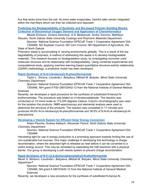flux that wicks brine from the soil. As brine water evaporates, harmful salts remain integrated within the mat fibers which can then be collected and disposed.

**[Predicting the Biodegradability of Synthetic and Bio-based Polymer Building Blocks:](https://symposium.foragerone.com/ndepscor21/presentations/13012)  [Collection of Biochemical Oxygen Demand and Application of Cheminformatics](https://symposium.foragerone.com/ndepscor21/presentations/13012)**

*Meade Erickson, Zoriana Demchuk, A.N. Bezbaruah, Andriy Voronov, Bakhtiyor Rasulev, North Dakota State University Coatings and Polymeric Materials Department*

Sponsor: National Science Foundation EPSCoR Track-1 Cooperative Agreement OIA-

1355466, ND Soybean Council, ND Corn Council, ND Department of Agriculture, the State of North Dakota

Polymeric waste is accumulating in varying environments globally. This is a result of the low degradability of polymers. A method of addressing this waste is to develop biodegradable materials. This research focuses on biodegradation study, by investigating monomer units' molecular structure and its relationship with biodegradability. Using combined experimental and computational study, applying machine learning-based quantitative structure-activity relationship (QSAR) methodology, a predictive model has been developed.

#### **[Rapid Synthesis of N-\(4-nitrobenzyl\)-N-phenylformamide](https://symposium.foragerone.com/ndepscor21/presentations/13076)**

*Taylor L. Simons, Lioudmila I. Bobyleva, Mikhail M. Bobylev, Minot State University Chemistry Department*

Sponsor: National Science Foundation EPSCoR Track-1 Cooperative Agreement OIA-

1355466, NIH grant 8 P20 GM103442-12 from the National Institute of General Medical

#### **Sciences**

Recently, we developed a rapid procedure for the synthesis of substituted N-benzyl-Narylformamides. The procedure was tested on 4-nitrobenzaldehyde. The reaction was conducted on 10 mmol scale at 173-225 degrees Celsius. Column chromatography was used for the isolation the products. NMR-spectroscopy and elemental analysis were used to determine the structure of the products. The reaction was completed in 17 minutes and produced 49.9% N-(4-nitrobenzyl)-N-phenylformamide and 38.8% of N,N-di-(4-nitrobenzyl)-Nphenylamine.

#### **[Developing a Vesicle System for Efficient Solar Energy Conversion](https://symposium.foragerone.com/ndepscor21/presentations/13439)**

*Adam Flesche, Andrew Kalbach, Alexander Parent, North Dakota State University Chemistry Department*

Sponsor: National Science Foundation EPSCoR Track-1 Cooperative Agreement OIA-1355466

Harvesting light for use in energy production is a promising approach towards limiting the use of non-sustainable fuel sources. One major challenge in developing this technology is charge recombination, where the absorbed light is released as heat before it can be converted to a useful energy source. This may be remedied by separating the half-reactions with a physical barrier. Our group is developing a soft vesicle system to prevent charge recombination.

#### **[Rapid Synthesis of N-\[1-\(2,4-dichlorophenyl\)ethyl\]-N-ethylformamide](https://symposium.foragerone.com/ndepscor21/presentations/14476)**

*Micah S. Winburn, Lioudmila I. Bobyleva, Mikhail M. Bobylev, Minot State University Chemistry DepartmenT*

Sponsor: National Science Foundation EPSCoR Track-1 Cooperative Agreement OIA-1355466, NH grant 8 GM103442-12 from the National Institute of General Medical **Sciences** 

Recently, we developed a new procedure for the synthesis of substituted N-benzyl-N-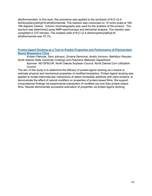alkylformamides. In this work, this procedure was applied to the synthesis of N-[1-(2,4 dichlorophenyl)ethyl]-N-ethylformamide. The reaction was conducted on 10 mmol scale at 180- 196 degrees Celsius. Column chromatography was used for the isolation of the product. The stucture was determined using NMR-spectroscopy and elemental analysis. The reaction was completed in 210 minutes. The isolated yield of N-[1-(2,4-dichlorophenyl)ethyl]-Nethylformamide was 70.1%.

#### **[Protein-ligand Docking as a Tool to Predict Properties and Performance of Plant-protein](https://symposium.foragerone.com/ndepscor21/presentations/13003)  [Based Bioplastics Films](https://symposium.foragerone.com/ndepscor21/presentations/13003)**

*Kristen Patnode, Sara Johnson, Zoriana Demchuk, Andriy Voronov, Bakhtiyor Rasulev, North Dakota State University Coatings and Polymeric Materials Department*

Sponsor: ND EPSCoR, North Dakota Soybean Council, North Dakota Corn Utilization **Council** 

The aim of this study is to determine the efficacy of protein-ligand docking as a means to estimate physical and mechanical properties of modified bioplastics. Protein-ligand docking was applied to model intermolecular interactions of select renewable additives with plant proteins, to demonstrate the effect of natural modifiers on properties of protein-based films. We support computational findings via experimental preparation of modified soy and Zein protein-based films. Results demonstrate successful estimation of properties via protein-ligand docking.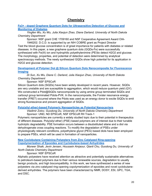# **Chemistry**

#### **Fe3+ - [doped Graphene Quantum Dots for Ultrasensitive Detection of Glucose and](https://symposium.foragerone.com/ndepscor21/presentations/13123)  [Monitoring of Diabetes](https://symposium.foragerone.com/ndepscor21/presentations/13123)**

*Yingfen Wu, Xu Wu, Julia Xiaojun Zhao, Diane Darland, University of North Dakota Chemistry Department*

Sponsor: NSF grant CHE 1709160 and NSF Cooperative Agreement Award OIA-

1946202. D.C.D. is supported by an NIH COBRE grant as Project Director Test the blood glucose concentration is of great importance for patients with diabetes or related diseases. In this paper, a new graphene quantum dots (GQDs-Fe) were successfully synthesized with Fe(III) ion and hydrophilic polyethylenimine (PEI)to detect H2O2 and glucose. The morphology, properties, and potential of detection were determined by analytical spectroscopy methods. The newly synthesized GQDs show high potential for its application in H2O2 and glucose detection.

#### **[Development of Polymer Dot @ Silicon Quantum Dots Nanocomposite for Fluorescence](https://symposium.foragerone.com/ndepscor21/presentations/13128)  [Imaging](https://symposium.foragerone.com/ndepscor21/presentations/13128)**

*Di Sun, Xu Wu, Diane C. Darland, Julia Xiaojun Zhao, University of North Dakota Chemistry Department*

#### Sponsor: NSF EPSCoR

Silicon Quantum dots (SiQDs) have been widely developed in recent years. However, SiQDs are very unstable and are susceptible to aggregation, which would reduce quantum yield (QY). We constructed a Pdot@SiQDs nanocomposite by using amine group terminated SiQDs and carboxyl group terminated Pdots-PVK. In the nanocomposite, the Forster resonance energy transfer (FRET) occurred where the Pdots was used as an energy donor to excite SiQDs to emit strong fluorescence and prevent aggregation of SiQDs.

#### **[Poly\(silyl ether\)-based Polymeric Nanoparticles as Potential Nanocarriers](https://symposium.foragerone.com/ndepscor21/presentations/13088)**

*Vladimir Zotov, Guodong Du, University of North Dakota Chemistry Department* Sponsor: UND, ND EPSCoR, NSF EPSCoR RII Track-1

Polymeric nanoparticles are currently a widely studied topic due to their potential in therapeutics of different diseases. Poly(silyl ether) (PSE) based polymers are of interest due to their tunable hydrolytic degradability. PSE formation occurs between a disubstituted silane and a diol via dehydrogenate cross coupling reactions. To modify the degradation of PSEs under physiologically relevant conditions, polyethylene glycol (PEG) based diols have been employed to prepare PSEs, which will be used in formation of nanoparticles.

#### **[New Cyclobutane Containing Polyesters from Zinc Catalyzed Ring-opening](https://symposium.foragerone.com/ndepscor21/presentations/14256)  [Copolymerization of Epoxides and Cyclobutane-based Anhydrides](https://symposium.foragerone.com/ndepscor21/presentations/14256)**

*Muneer Shaik, Jevin Jensen, Houssein Amjaour, Qianli Chu, Guodong Du, University of North Dakota Chemistry Department*

Sponsor: NSF EPSCoR

Aliphatic polyesters have received attention as attractive and potentially sustainable alternatives to petroleum-based polymers due to their various renewable sources, degradation to usually benign products, and high biocompatibility. In this work, we have synthesized a series of new polyesters via zinc-catalyzed ring-opening copolymerization of epoxides and novel cyclobutanederived anhydrides. The polymers have been characterized by NMR, DOSY, ESI, GPC, TGA, and DSC.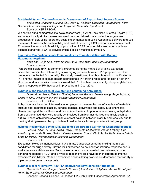#### **[Sustainability and Techno-Economic Assessment of Expoxidized Sucrose Soyate](https://symposium.foragerone.com/ndepscor21/presentations/13106)**

*Shokoofeh Ghasemi, Mukund Sibi, Dean C. Webster, Ghasideh Pourhashem, North Dakota State University Coatings and Polymeric Materials Department*

Sponsor: NSF EPSCoR

We carried out a comparative life cycle assessment (LCA) of Epoxidized Sucrose Soyate (ESS) and a functionally similar petroleum-based commercial resin. We model the large-scale production of ESS using laboratory-scale experimental data using Aspen plus software and use the results to assess the sustainability and cost of producing ESS resin on a commercial scale. To assess the economic feasibility of production of ESS commercially, we perform technoeconomic analysis (TEA) to provide critical decision-making information.

#### **[Improving Pea Protein Isolate Functionality by Phosphorylation with Sodium](https://symposium.foragerone.com/ndepscor21/presentations/14383)  [Hexametaphosphate](https://symposium.foragerone.com/ndepscor21/presentations/14383)**

*Yang Lan, Jiajia Rao, North Dakota State University Chemistry Department* Sponsor: None

Pea protein isolate (PPI) is commonly extracted using the method of alkaline extractionisoelectric precipitation, followed by spray drying process; however, PPI prepared from this procedure has limited functionality. This study investigated the phosphorylation modification of PPI and the impact of sodium hexametaphosphate-PPI mixing ratios and reaction pH on PPI structure and functionality. Results showed that PPI has been successfully phosphorylated and foaming capacity of PPI has been improved from 110 to 120%.

#### **[Synthesis and Properties of Cyclobutene-containing Anhydrides](https://symposium.foragerone.com/ndepscor21/presentations/13188)**

*Houssein Amjaour, Rahul K. Shahni, Mckenzie Roman, Zhihan Wang, Angel Ugrinov, Qianli R. Chu, University of North Dakota Chemistry Department*

Sponsor: NSF EPSCoR

Anhydrides are important intermediates employed in the manufacture of a variety of materials such as fiber-reinforced plastics, surface coatings, polyimides and agricultural chemicals. Herein, we report the synthesis and properties of series of cyclobutane-containing anhydrides. Some of the anhydrides were readily synthesized from biomass-derived chemicals such as furfural. These anhydrides showed an excellent balance between stability and reactivity due to the ring strain generated by cyclobutane fused to the cyclic anhydride functional group.

#### **[Hypoxia-Responsive Bovine Milk Exosomes as Targeted Carrier for Chemotherapeutics](https://symposium.foragerone.com/ndepscor21/presentations/12902)**

*Jessica Pullan, Li Feng, Kaitlin Dailey, Sangeeta Bhallamudi, James Froberg, Lina Alhalhooly, Amanda Brooks, Sathish Venkatachalem, Yongki Choi, Sanku Mallik, North Dakota State University Pharmaceutical Sciences Department*

Sponsor: NIH

Exosomes, biological nanoparticles, have innate transportation ability making them ideal candidates for drug delivery. Bovine milk exosomes do not show an immune response and is available from a viable source. To increase targeting and controlled drug release, a tumor penetrating peptide (iRGD) and a hypoxia-responsive lipid have been incorporated into the exosomes' lipid bilayer. Modified exosomes encapsulating doxorubicin decreased the viability of triple negative breast cancer cells.

#### **[Synthesis of N-N'-dimethyl-N,N'-\(1,4-phenylenediethylidene\)bis-formamide](https://symposium.foragerone.com/ndepscor21/presentations/13105)**

*Stephanie E. Sundhagen, Isabella Rowland, Lioudmila I. Bobyleva, Mikhail M. Bobylev Minot State University Chemistry Department*

Sponsor: National Science Foundation EPSCoR Track-1 Cooperative Agreement OIA-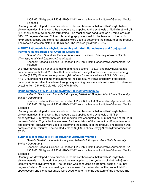1355466, NIH grant 8 P20 GM103442-12 from the National Institute of General Medical **Sciences** 

Recently, we developed a new procedure for the synthesis of substituted N-(1-arylethyl)-Nalkylformamides. In this work, the procedure was applied to the synthesis of N,N'-dimethyl-N,N'- (1,4-phenylenediethylidene)bis-formamide. The reaction was conducted on 10 mmol scale at 185-187 degrees Celsius. Column chromatography was used for the isolation of the product. NMR-spectroscopy and elemental analysis were used to determine the structure of the product. The reaction was completed in 20 minutes. The isolated yield was 76.8%.

#### **[A FRET Ratiometric Nanohybrid Assembly with Gold Nanoclusters and Conjugated](https://symposium.foragerone.com/ndepscor21/presentations/13150)  [Polymers Nanoparticles for Cysteine Detection](https://symposium.foragerone.com/ndepscor21/presentations/13150)**

*Hannah Juan Han, Julia Xiaojun Zhao, David T. Pierce, University of North Dakota Chemistry Analytical Chemistry Department*

Sponsor: National Science Foundation EPSCoR Track-1 Cooperative Agreement OIA-1946202

We have developed a nanohybrid using gold nanoclusters (AuNCs) and polyvinylcarbazole polymer nanoparticles (PVK PNs) that demonstrated strong fluorescence resonance energy transfer (FRET). Fluorescence quantum yield of AuNCs enhanced from 1 % to 3% through FRET. Fluorescence lifetime measurements indicate a 59 % FRET efficiency. Fluorescent nanohybrid is sensitive to cysteine through a quenching process and can be used to determine cysteine from 0.5 to 600 uM with LOD of 0.18 uM.

#### **[Rapid Synthesis of N-\[1-\(4-biphenyl\)ethyl\]-N-methylformamide](https://symposium.foragerone.com/ndepscor21/presentations/13053)**

*Aziza Z. Ziiadinova, Lioudmila I. Bobyleva, Mikhail M. Bobylev, Minot State University Biology Department*

Sponsor: National Science Foundation EPSCoR Track-1 Cooperative Agreement OIA-1355466, NIH grant 8 P20 GM103442-12 from the National Institute of General Medical

#### **Sciences**

Recently, we developed a new procedure for the synthesis of substituted N-(1-arylethyl)-Nalkylformamides. In this work, the procedure was applied to the synthesis of N-[1-(4 biphenyl)ethyl]-N-methylformamide. The reaction was conducted on 10 mmol scale at 196-200 degrees Celsius. Crystallization was used for the isolation of the product. NMR-spectroscopy and elemental analysis were used to determine the structure of the product. The reaction was completed in 30 minutes. The isolated yield of N-[1-(4-biphenyl)ethyl]-N-methylformamide was 87.4%.

#### **[Synthesis of N-ethyl-N-\[1-\(4-isobutylphenyl\)ethyl\]formamide](https://symposium.foragerone.com/ndepscor21/presentations/13140)**

*Daniela Nardelli, Lioudmila I. Bobyleva, Mikhail M. Bobylev, Minot State University Biology Department*

Sponsor: National Science Foundation EPSCoR Track-1 Cooperative Agreement OIA-

1355466, NIH grant 8 P20 GM103442-12 from the National Institute of General Medical **Sciences** 

Recently, we developed a new procedure for the synthesis of substituted N-(1-arylethyl)-Nalkylformamide. In this work, the procedure was applied to the synthesis of N-ethyl-N-[1-(4 isobutylphenyl)ethyl]formamide. The reaction was conducted on 10 mmol scale at 186-196 degrees Celsius. Column chromatography was used for the isolation of the product. NMRspectroscopy and elemental anysis were used to determine the structure of the product. The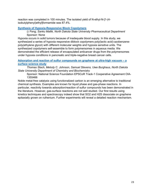reaction was completed in 100 minutes. The isolated yield of N-ethyl-N-[1-(4 isobutylphenyl)ethyl]formamide was 87.4%.

#### **[Synthesis of Hypoxia-Responsive Block Copolymers](https://symposium.foragerone.com/ndepscor21/presentations/14043)**

*Li Feng, Sanku Mallik, North Dakota State University Pharmaceutical Department* Sponsor: None

Hypoxia occurs in solid tumors because of inadequate blood supply. In this study, we synthesized a series of hypoxia responsive diblock copolymers poly(lactic acid)-azobenzenepoly(ethylene glycol) with different molecular weights and hypoxia sensitive units. The synthesized copolymers self-assemble to form polymersomes in aqueous media. We demonstrated the efficient release of encapsulated anticancer drugs from the polymersomes under hypoxia conditions in pancreatic and triple-negative breast cancer cells.

#### **[Adsorption and reaction of sulfur compounds on graphene at ultra-high vacuum –](https://symposium.foragerone.com/ndepscor21/presentations/14016) a [surface science study](https://symposium.foragerone.com/ndepscor21/presentations/14016)**

*Thomas Stach, Melody C. Johnson, Samuel Stevens, Uwe Burghaus, North Dakota State University Department of Chemistry and Biochemistry*

Sponsor: National Science Foundation EPSCoR Track-1 Cooperative Agreement OIA-1355466

Noble metal-free catalysis using functionalized carbon is an emerging alternative to traditional chemical synthesis. Examples are known for liquid phase and gas-phase reactions. In particular, reactivity towards adsorption/reaction of sulfur compounds has been demonstrated in the literature. However, gas-surface reactions are not well studied. Our first results using kinetics techniques and spectroscopy indeed show that SO2 and H2S dissociate on graphene epitaxially grown on ruthenium. Further experiments will reveal a detailed reaction mechanism.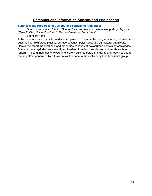# **Computer and Information Science and Engineering**

#### **[Synthesis and Properties of Cyclobutane-containing Anhydrides](https://symposium.foragerone.com/ndepscor21/presentations/13188)**

*Houssein Amjaour, Rahul K. Shahni, Mckenzie Roman, Zhihan Wang, Angel Ugrinov, Qianli R. Chu, University of North Dakota Chemistry Department*

Sponsor: None

Anhydrides are important intermediates employed in the manufacturing of a variety of materials such as fiber-reinforced plastics, surface coatings, polyimides, and agricultural chemicals. Herein, we report the synthesis and properties of series of cyclobutane-containing anhydrides. Some of the anhydrides were readily synthesized from biomass-derived chemicals such as furfural. These anhydrides showed an excellent balance between stability and reactivity due to the ring strain generated by a fusion of cyclobutane to the cyclic anhydride functional group.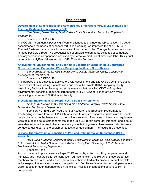## **Engineering**

#### **[Development of Synchronous and Asynchronous Interactive Virtual Lab Modules for](https://symposium.foragerone.com/ndepscor21/presentations/12940)  [Thermal Systems Laboratory at NDSU](https://symposium.foragerone.com/ndepscor21/presentations/12940)**

*Yan Zhang, Derek Heinis, North Dakota State University, Mechanical Engineering Department*

Sponsor: ND EPSCoR

The COVID-19 pandemic poses significant challenges to engineering lab education. To better accommodate the needs of enhanced virtual lab learning, we improved the NDSU ME457 Thermal Systems Lab course with innovative virtual lab modules. The synchronous component is made possible through live broadcastings of physical experiments using tablet computers. The asynchronous component is achieved by interactive modules of simulated labs. This virtual lab enables a HyFlex delivery mode of ME457 for the first time.

#### **[Analyzing the Environmental and Economic Benefits of Establishing a Centralized](https://symposium.foragerone.com/ndepscor21/presentations/14237)  [Construction and Demolition Waste Recycling Facility in North Dakota](https://symposium.foragerone.com/ndepscor21/presentations/14237)**

*Simon Boateng, Abdul-Aziz Banawi, North Dakota State University, Construction Management Department*

Sponsor: ND EPSCoR

The purpose of this study is to apply Life Cycle Assessment and Life Cycle Cost in evaluating the benefits of establishing a construction and demolition waste (CDW) recycling facility. preliminary findings from this ongoing study revealed that recycling CDW in Fargo has environmental benefits of reducing carbon footprint by 47Co2 eq. kg/ton of CDW while generating a revenue of 29.85/ton for the city.

#### **[Biosensing Environment for Responses to Built Environments](https://symposium.foragerone.com/ndepscor21/presentations/14086)**

*Ganapathy Mahalingam, Sydney Garcia and Jenna Bordwell, North Dakota State University, Architecture Department*

Sponsor: ND- EPSCoR (NDSU STEM Research and Education Program 2019) The funding received from ND-EPSCoR was used to acquire research infrastructure to enable research studies in the biosensing of the built environment. Two types of biosensing equipment were acquired: a set of components that made up a BCI (brain computer interface) and a set of wearable sensors that would track the vital signs of building users. Two research studies were conducted using part of the equipment to test their deployment. The results are presented.

**[Surface Thermodynamic Properties of Per-](https://symposium.foragerone.com/ndepscor21/presentations/13147) and Polyfluoroalkyl Substances (PFAS) [Aerosols](https://symposium.foragerone.com/ndepscor21/presentations/13147)**

*Hallie Boyer Chelmo, Sidney Arbogast, Emily Dahlke, Bryan Kovacic, Gabriel Schettler, Fafa Tackie-Otoo, Taylor Strand, Logan Webber, Feng Xiao, University of North Dakota Mechanical Engineering Department*

Sponsor: None

A custom aerosol optical tweezers traps PFAS aerosols, while controlling temperature and humidity, and measures size, concentration, surface tension, and pH. All of these properties feedback on each other and require this in situ technique to directly probe individual droplets while keeping the surface pristine and unperturbed. For the surface tension model, parameters were reduced through dependence on the critical micelle concentrations of various PFAS compounds.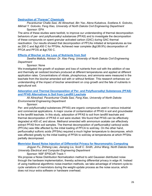#### **[Destruction of "Forever" Chemicals](https://symposium.foragerone.com/ndepscor21/presentations/14171)**

*Pavankumar Challa Sasi, Ali Alinezhad, Bin Yao, Alena Kubatova, Svetlana A. Golovko, Mikhail Y. Golovko, Feng Xiao, University of North Dakota Civil Engineering Department* Sponsor: EPA

The aims of these studies were twofold, to improve our understanding of thermal decomposition behaviors of per- and polyfluoroalkyl substances (PFAS) and to investigate the decomposition of these compounds on spent granular activated carbon (GAC) during GAC thermal reactivation. Our results showed that decomposition of PFCAs initiated at temperatures as low as 200 C and &qt:450 C for PFSAs. Achieved near complete (&qt:99.9%) decomposition of PFOA and PFOS at >700 C.

#### **[Effects of Biochar on the Loss of Nutrients from Soil](https://symposium.foragerone.com/ndepscor21/presentations/14263)**

*Swetha Mallula, Advisor: Dr. Xiao Feng, University of North Dakota Civil Engineering Department*

#### Sponsor: None

We investigated the growth of soybean and loss of nutrients from soil with the addition of raw and thermally air oxidized biochars produced at different temperatures and applied at different application rates. Concentrations of nitrate, phosphorous, and ammonia were measured in the leachate from the biochar-amended soil with or without fertilizer. This research enhances our understanding of the impact of biochar amendment on crop growth and the fate of nutrients in agricultural soil.

#### **[Adsorption and Thermal Decomposition of Per-](https://symposium.foragerone.com/ndepscor21/presentations/15286) and Polyfluoroalkyl Substances (PFAS) [and PFAS Alternatives in Soil from Landfill Leachate](https://symposium.foragerone.com/ndepscor21/presentations/15286)**

*Ali Alinezhad, Pavankumar Challa Sasi, Feng Xiao, University of North Dakota Environmental Engineering Department*

Sponsor:

Per- and polyfluoroalkyl substances (PFAS) are organic compounds used in various industrial and commercial applications. A major course of contamination of PFAS in soil and groundwater is the landfill leachate. In this study, adsorption of PFAS to soil from landfill leachate and thermal decomposition of PFAS in soil were studied. We found that PFAS can be effectively degraded at 400 oC and above. Methanol amended with ammonium acetate can effectively extract PFAS from soil samples. The thermal decomposition of perfluoroalkyl carboxyl acids (PFCAs) was little affected by the initial loading of PFCA to soil/clay. On the other hand, perfluoroalkyl sulfonic acids (PFSAs) required a much higher temperature to decompose, which was affected greatly by the initial loading of PFSA to soil/clay at temperatures at which PFSAs partially decomposed.

#### **[Memristor Based Noise Injection of Differential Privacy for Neuromorphic Computing](https://symposium.foragerone.com/ndepscor21/presentations/13082)**

*Jingyan Fu, Zhiheng Liao, Jianqing Liu, Scott C. Smith, Jinhui Wang, North Dakota State University Electrical and Computer Engineering Department*

Sponsor: NSF EPSCoR Track-1

We propose a Noise Distribution Normalization method to add Gaussian distributed noise through the hardware implementation, thereby achieving differential privacy in edge AI. Instead of using traditional algorithmic noise-insertion methods, we take advantage of inherent cycle-tocycle variations of memristors during the weight-update process as the noise source, which does not incur extra software or hardware overhead.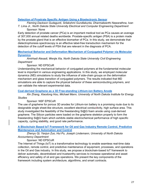#### **Detection of Prostrate [Specific Antigen Using a Bioelectronic Sensor](https://symposium.foragerone.com/ndepscor21/presentations/13020)**

*Fleming Dackson Gudagunti, Srilakshmi Gundlakunta, Dharmakeerthi Nawarathna, Ivan* 

*T. Lima Jr., North Dakota State University Electrical and Computer Engineering Department* Sponsor: None

Early detection of prostate cancer (PCa) is an important medical tool as PCa causes an average of 307,000 annual related deaths worldwide. Prostate-specific antigen (PSA) is a protein made by the prostate gland that is an effective biomarker of PCa. In this study, we demonstrate that dielectrophoresis spectroscopy is an effective label-free transduction mechanism for the detection of the cutoff levels of PSA that are relevant in the diagnosis of PCA.

#### **[Mechanical Behavior and Deformation Mechanism of Conjugated Polymer via Molecular](https://symposium.foragerone.com/ndepscor21/presentations/13137)  [Dynamics](https://symposium.foragerone.com/ndepscor21/presentations/13137)**

*Amirhadi Alesadi, Wenjie Xia, North Dakota State University Civil Engineering Department*

Sponsor: ND EPSCoR

Understanding the mechanical behavior of conjugated polymers at the fundamental molecular level is important in various engineering applications. In this study, we employed molecular dynamics (MD) simulations to study the influence of side-chain groups on the deformation mechanism and glass transition of conjugated polymers. The results indicated that MD simulations are able to capture the physical behavior of these semiconducting polymers, and can validate the relevant experimental data.

#### **[Coal-derived Graphene as a 3D Free-standing Lithium-ion Battery Anode](https://symposium.foragerone.com/ndepscor21/presentations/13066)**

*Xin Zhang, Xiaodong Hou, Michael Mann, University of North Dakota Institute for Energy Studies*

#### Sponsor: NSF EPSCoR

The use of graphene for porous 3D anodes for Lithium-ion battery is a promising route due to its designable single sheet-like structure, excellent electrical conducitivity, high surface area. This study investigated the feasibility of the freestanding Si@G foam anode using coal-derived graphene. The Silicon particles were loaded on the graphene skeleton properly to form the freestanding Si@G foam which exhibits stable electrochemical performance of high specific capacity, cycling stablility, and good rate performance.

#### **[A Blockchain Based IoT Framework for Oil and Gas Industry Remote Control, Predictive](https://symposium.foragerone.com/ndepscor21/presentations/14308)  [Maintenance and Automation and Control](https://symposium.foragerone.com/ndepscor21/presentations/14308)**

*Zhenyu Qi, Yanjun Zuo, Hui Pu, Joseph Lindemann, University of North Dakota Accountancy Department*

Sponsor: ND EPSCoR

The Internet of Things (IoT) is a transformative technology to enable seamless real-time data collection, remote control, and predictive maintenance of equipment, processes, and operations in the Oil and Gas industry. In this study, we propose a blockchain-based IoT framework to deliver automatic, decentralized and trustworthy services to increase operational and asset efficiency and safety of oil and gas operations. We present the key components of the framework including system architecture, algorithms, and smart contracts.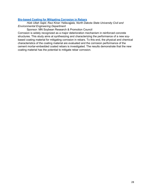#### **[Bio-based Coating for Mitigating Corrosion in Rebars](https://symposium.foragerone.com/ndepscor21/presentations/13151)**

*Hizb Ullah Sajid, Ravi Kiran Yellavajjala, North Dakota State University Civil and Environmental Engineering Department*

Sponsor: MN Soybean Research & Promotion Council

Corrosion is widely recognized as a major deterioration mechanism in reinforced concrete structures. This study aims at synthesizing and characterizing the performance of a new soybased coating material for mitigating corrosion in rebars. To this end, the physical and chemical characteristics of the coating material are evaluated and the corrosion performance of the cement mortar-embedded coated rebars is investigated. The results demonstrate that the new coating material has the potential to mitigate rebar corrosion.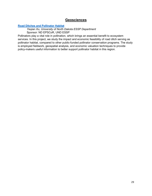### **Geosciences**

#### **[Road Ditches and Pollinator Habitat](https://symposium.foragerone.com/ndepscor21/presentations/11835)**

*Yeqian Xu, University of North Dakota ESSP Department* Sponsor: ND EPSCoR, UND ESSP

Pollinators play a vital role in pollination, which brings an essential benefit to ecosystem services. In this project, we study the impact and economic feasibility of road ditch serving as pollinator habitat, compared to other public-funded pollinator conservation programs. The study is employed fieldwork, geospatial analysis, and economic valuation techniques to provide policy-makers useful information to better support pollinator habitat in this region.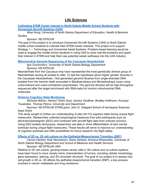# **Life Sciences**

#### **[Cultivating STEM Career Interest in North Dakota Middle School Students with](https://symposium.foragerone.com/ndepscor21/presentations/13109)  [Unmanned Aircraft Systems \(UAS\)](https://symposium.foragerone.com/ndepscor21/presentations/13109)**

*Woei Hung, University of North Dakota Department of Education, Health & Behavior Studies*

#### Sponsor: ND EPSCoR

The goal of this project is to introduce Unmanned Aircraft Systems (UAS) to North Dakota middle school students to cultivate their STEM career interests. This project is to support Strategy 1 -- Technology and Unmanned Aerial Systems. Problem-based learning would be used to engage the middle school students in using UAS to solve real life problems and spark their interest in STEM and help them see potential career pathways into the UAS industry.

#### **[Mitochondrial Genome Sequencing of the Caucasian Neanderthals](https://symposium.foragerone.com/ndepscor21/presentations/13058)**

*Igor Ovchinnikov, University of North Dakota Biology Department* Sponsor: ND EPSCoR

Neanderthals from the Caucasus may have represented the most genetically diverse group of Neanderthals among all studied to date. To test the hypothesis about higher genetic diversity in the Caucasian Neanderthals, I first generated genome libraries from single-stranded DNA isolated from the hominin teeth excavated in Barakaevskaya and Monasheskaya caves using uracil-tolerant and uracil-nontolerant polymerases. The genome libraries will be high-throughput sequenced after the target enrichment with RNA-baits for hominin mitochondrial DNA molecules.

#### **[Airborne Cognitive State Monitoring](https://symposium.foragerone.com/ndepscor21/presentations/14056)**

*Nicholas Wilson, Hamed Taheri Gorji, Jessica VanBree, Bradley Hoffmann, Kouhyar Tavakolian, Thomas Petros, University and Department*

Sponsor: ND EPSCoR STEM grant, John D. Odegard School of Aerospace Sciences Seed Grant

This study sought to further our understanding of pilot (N=10) cognitive state during unique flight maneuvers. Researchers collected physiological measures from pilot participants such as electroencephalogram (EEG) and combined with aircraft flight data from onboard avionics. Using EEG analytic techniques, researchers are able to show differentiation of pilot mental workload during unique flight maneuvers. These results will serve to improve our understanding of cognitive workload and offer possibilities for future research into flight safety.

#### **[Effects of 2D vs. 3D cell culture on the Epithelial-Mesenchymal Transition \(EMT\)](https://symposium.foragerone.com/ndepscor21/presentations/14280)**

*Carson Herbert, Kole Hermanson, Diane Darland, Archana Dhasarathy, University of North Dakota Biology Department and School of Medicine and Health Services* Sponsor: ND EPSCoR URA

Relative to 2D cell culture, growing breast cancer cells in 3D culture and co-culture systems have been found to more closely mimic characteristics of tumors, including cellular morphology, gene expression, splicing, and 3D chromatin structure. The goal of our project is to assess how cell growth in 2D vs. 3D affects the epithelial-mesenchymal transition (EMT), a key process involved in cancer metastasis and drug resistance.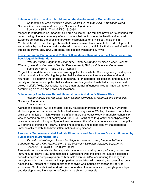#### **[Influence of the provision microbiome on the development of Megachile rotundata](https://symposium.foragerone.com/ndepscor21/presentations/14198)**

*Gagandeep S. Brar, Madison Floden. George D. Yocum, Julia H. Bowsher, North Dakota State University and Biological Sciences Department*

Sponsor: NSF RII Track-2 FEC 1826834

Megachile rotundata is an important field crop pollinator. The females provision its offspring with pollen having diverse community of microbiomes that contribute to the health and survival. Evidence concerning the effects of provision microbiomes on physiology is lacking in M.rotundata. We tested the hypothesis that provision microbiome affects bee's development and survival by manipulating natural diet with diet containing antibiotics that showed significant effects on growth rate, larval, prepupal, and cocoon weight and survival.

#### **[Investigating the Diapause and Pollen Ball Incidence Dynamics in the Alfalfa Leafcutting](https://symposium.foragerone.com/ndepscor21/presentations/12621)  [Bee, Megachile Rotundata](https://symposium.foragerone.com/ndepscor21/presentations/12621)**

*Preetpal Singh, Gagandeep Singh Brar, Bridger Scrapper, Madison Floden, Joseph Rinehart, Julia Bowsher, North Dakota State University Biological Sciences Department* Sponsor: NSF RII Track-2 FEC 1826834

Megachile rotundata, is a commercial solitary pollinator of alfalfa. Cues regulating the diapause incidence and factors affecting the pollen ball incidence are not entirely understood in M. rotundata. To determine the effects of temperature, photoperiod, cell position, and population density on diapause and pollen ball incidence, we designed and installed six replicate nest boxes in alfalfa fields. Our results indicate that maternal influence played an important role in determining diapause and pollen ball incidence.

#### **[Splenectomy Ameliorates Neuroinflammation in Alzheimer's Disease](https://symposium.foragerone.com/ndepscor21/presentations/13084) Mice**

*Nelofar Nargis, Bijayani Sahu, Colin Combs, University of North Dakota Biomedical Sciences Department*

#### Sponsor: None

Alzheimer's disease (AD) is characterized by neurodegeneration and dementia. Numerous studies support an immune contribution to disease progression. We hypothesized that spleenbrain communication might explain this inflammatory pathophysiology. Immunohistochemistry was performed on brains of healthy and AppNL-G-F (AD) mice to quantify phenotypes of the brain immune cell, microglia. Splenectomy decreased the inflammatory environment of AppNL-G-F brains by increasing TREM2 expressing microglia. These data confirm that peripheral immune cells contribute to brain inflammation during disease.

#### **[Pancreatic Tumor-associated Pericyte Phenotype and Function are Greatly Influenced](https://symposium.foragerone.com/ndepscor21/presentations/13152) by [Tumor Microenvironment \(TME\)](https://symposium.foragerone.com/ndepscor21/presentations/13152)**

*Vikneshwari Natarajan, Alexander Delgado, Reed Jacobson, Maryam Al-Kaabi, Sangdeuk Ha, Jiha Kim, North Dakota State University Biological Sciences Department* Sponsor: NIH COBRE 1P20GM109024

Pancreatic tumor vessels display atypical characteristics causing poor perfusion, hypoxic and immunosuppressive TME, and metastasis. Our recent work indicates that tumor-associated pericytes express ectopic alpha-smooth muscle actin (a-SMA), contributing to changes in pericyte morphology, biomechanical properties, association with vessels, and overall vascular functionality. Interestingly, such aberrant phenotype was induced by cancer cell-derived exosomes. Our foundational work will help understand the importance of pericyte phenotype and develop innovative ways to re-functionalize abnormal vessels.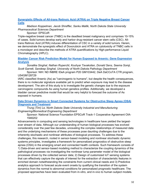#### **[Synergistic Effects of All-trans Retinoic Acid \(ATRA\) on Triple Negative Breast Cancer](https://symposium.foragerone.com/ndepscor21/presentations/14270)  [Cells](https://symposium.foragerone.com/ndepscor21/presentations/14270)**

#### *Madison Koppelman, Jacob Shreffler, Sanku Mallik, North Dakota State University Pharmaceutical Sciences Department*

#### Sponsor: EPSCoR

Triple-negative breast cancer (TNBC) is the deadliest breast malignancy and comprises 10-15% of cases. Solid tumors develop early and harbor drug-resistant cancer stem cells (CSC). Alltrans Retinoic Acid (ATRA) induces differentiation of CSC in a variety of solid tumors. Herein, we demonstrate the synergistic effect of Doxorubicin and ATRA on cytotoxicity of TNBC cells in a monolayer and describe the methods of ATRA quantifications by High-performance Liquid Chromatography (HPLC).

#### **[Bladder Cancer Risk Prediction Model for Human Exposed to Arsenic: Gene Expression](https://symposium.foragerone.com/ndepscor21/presentations/14259)  [Analysis](https://symposium.foragerone.com/ndepscor21/presentations/14259)**

*Sonalika Singhal, Nathan Rupercht, Kouhyar Tavakolian, Donald Sens, Seema Somji, Scott Garrett, Sandeep Singhal, University of North Dakota Pathology Department*

Sponsor: NIH: ND INBRE IDeA program P20 GM103442, DeA DaCCoTA CTR program, U54GM128729

IARC classified Arsenic (As) as "carcinogenic to humans", but despite the health consequences, there is no molecular signature available yet to predict when exposure may lead to the disease development. The aim of this study is to investigate the genetic changes due to the exposure carcinogenic compounds As using human genetics profiles. Additionally, we developed a bladder cancer predictive model that would be very helpful to forecast the outcome of As exposed in humans.

#### **[Data Driven Dynamics in Smart Connected Systems for Obstructive Sleep Apnea \(OSA\)](https://symposium.foragerone.com/ndepscor21/presentations/15080)  [Diagnosis and Treatment](https://symposium.foragerone.com/ndepscor21/presentations/15080)**

#### *Trung (Tim) Le, North Dakota State University Industrial and Manufacturing Engineering/Biomedical Engineering Department*

Sponsor: National Science Foundation EPSCoR Track-1 Cooperative Agreement OIA-1946202

Advancements in computing and sensing technologies in healthcare have yielded the largestever stream of data. Although our understanding of human biological processes has evolved considerably over the past few decades, unraveling the complex relationships of measured data and the underlying mechanisms of these processes pose daunting challenges due to the inherently stochastic and nonlinear attributes of biological processes. To address these challenges, this research, rooted in sensor-based modeling and nonlinear stochastic dynamic systems principles, investigates a framework for personalized prognostics of obstructive sleep apnea (OSA) in the emerging smart and connected health contexts. Such framework consists of 1) Data-driven and sensor-based modeling method to characterize the coupling dynamics of the pathological processes via investigating the nonlinear lump parameter model of the biological processes driven by the collected sensor data; 2) Design of customized IoT sensing systems that can effectively capture the signals of interest for the extraction of characteristic features in enriched domain notwithstanding the constraints from current clinical needs and 3) Predictive analytics approach to forecast acute event onsets by qualifying the transition of the system dynamics from the normal to abnormal conditions for personalized prognostic healthcare. The proposed approaches have been evaluated from in-vitro, and in-vivo to human subject models.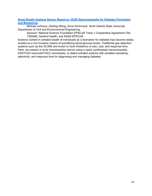#### **[Novel Breath Acetone Sensor Based on 1D/2D Nanocomposite for Diabetes Prevention](https://symposium.foragerone.com/ndepscor21/presentations/14367)  [and Monitoring](https://symposium.foragerone.com/ndepscor21/presentations/14367)**

*Michael Johnson, Danling Wang, Anna Schornack, North Dakota State University Department of Civil and Environmental Engineering*

Sponsor: National Science Foundation EPSCoR Track-1 Cooperative Agreement OIA-1355466, Sanford Health, and NASA EPSCoR

Acetone content in exhaled breath of individuals as a biomarker for diabetes has become widely studied as a non-invasive means of quantifying blood-glucose levels. Traditional gas detection systems such as the GC/MS are known to have limitations of size, cost, and response time. Here, we present a novel chemiresistive sensor using a newly synthesized nanocomposite, K2W7O22 nanorods/Ti3C2 nanosheets, to detect exhaled acetone with excellent sensitivity, selectivity, and response time for diagnosing and managing diabetes.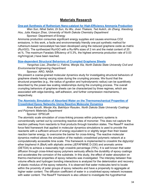### **Materials Research**

#### **[One-pot Synthesis of Ruthenium Nano-catalyst for High-Efficiency Ammonia Production](https://symposium.foragerone.com/ndepscor21/presentations/13129)**

*Wen Sun, Nihat Sahin, Di Sun, Xu Wu, Jivan Thakare, Ted Aulich, Jin Zhang, Xiaodong Hou, Julia Xiaojun Zhao, University of North Dakota Chemistry Department*

#### Sponsor: Department of Energy

Ammonia production consumes significant energy supplies and causes enormous CO2 emissions. In this work, a facile and environmentally friendly one-pot synthetic method for ruthenium-based nanocatalyst has been developed using the reduced graphene oxide as matrix (Ru/rGO). The synthesized Ru/rGO with a Ru-NPs sizes of 2 nm and the metal content of 20 wt.%. The maximum Faradaic Efficiency of 5.3%, the highest ammonia production rate of 0.03 mg/h/mg(cat.) have been reached.

#### **[Size-dependent Structural Behaviors of Crumpled Graphene Sheets](https://symposium.foragerone.com/ndepscor21/presentations/13144)**

*Yangchao Liao, Zhaofan Li, Fatima, Wenjie Xia, North Dakota State University Civil and Environmental Engineering Department*

#### Sponsor: ARO, NASA

We present a coarse-grained molecular dynamics study for investigating structural behaviors of graphene sheets having varying sizes during the crumpling process. We found that the structural properties (e.g., the radius of gyration and hydrodynamic radius) can be quantitively described by the power-law scaling relationships during the crumpling process. The overall crumpling behaviors of graphene sheets can be characterized by three regimes, which are associated with edge-bending, self-adhesion, and further compression mechanisms, respectively.

#### **The Atomistic [Simulation of Absorbed Water on the Thermomechanical Properties of](https://symposium.foragerone.com/ndepscor21/presentations/13980)  [Crosslinked Epoxy Networks Using Reactive Molecular Dynamics](https://symposium.foragerone.com/ndepscor21/presentations/13980)**

*Anas Karuth, Wenjie Xia, Bakhtiyor Rasulev, North Dakota State University Coatings and Polymeric Materials Department*

Sponsor: EPSCoR

The atomistic scale simulation of cross-linking process within polymeric systems is conventionally carried out by connecting reactive sites of monomer. This does not capture the reaction pathway from reactants to final products through transition states. The ReaxFF reactive force field framework that applied in molecular dynamics simulations is used to provide the reactants with a sufficient amount of energy equivalent to or slightly larger than their lowest reaction barrier energy, to overcome the barrier for cross-linking. The reactive molecular dynamics method allows the simulation of the realistic crosslinked polymeric network at a computationally accessible time scale. This framework is implemented to crosslink the diglycidyl ether bisphenol A (BisA) with aliphatic amine (JEFAFMINE D-230) and aromatic amine (DETDA) to achieve a reasonably high crosslink percentage (70%). It is well known that water diffusion through cross-linked epoxy polymers seriously affects the durability of epoxy coatings and accelerates the corrosion of the substrate. In this study, the effect of water absorption on thermo-mechanical properties of epoxy networks was investigated. The interplay between free volume effects and hydrogen bonding interactions is analyzed for the deterioration and recovery of elastic modulus of the epoxy networks. It is observed that water molecules tend to locate within the proximity of polar groups of epoxy networks and have a propensity to aggregate at higher water content. The diffusion coefficient of water in a croslinked epoxy network increases with water content. The ReaxFF framework is also utilized to investigate the hygrothermal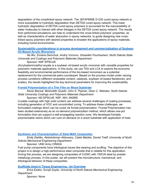degradation of the crosslinked epoxy network. The JEFAFMINE D-230 cured epoxy network is more susceptible to hydrolytic degradation than DETDA cured epoxy network. This lower hydrolytic degradation of DETDA cured epoxy polymers is accounted for the inaccessibility of water molecules to interact with ether linkages in the DETDA cured epoxy network. The results from performed simulations can help to understand the cross-linked polymers' properties, as well as characteristics of water absorption in epoxy networks, to guide designing new crosslinked epoxy polymers with desired properties to broaden the applications of epoxy materials, including humid environments.

#### **[Sustainability considerations in process development and commercialization of Soybean](https://symposium.foragerone.com/ndepscor21/presentations/13145)  [Oil-Based Acrylic Monomers](https://symposium.foragerone.com/ndepscor21/presentations/13145)**

*Na Wu, Zoriana Demchuk, Andriy Voronov, Ghasideh Pourhashem, North Dakota State University and Coatings and Polymeric Materials Department*

#### Sponsor: NSF EPSCoR

(Acryloylamino)ethyl soyate is a soybean oil-based acrylic monomer with versatile properties for polymeric materials applications. In this study, we use TEA and LCA to explore the economic feasibility and environmental performance of the bio-based monomers as a potential replacement for the commercial petro-counterpart. Based on the process model under varying process conditions (different renewable content, catalysts, soybean oil-based feedstocks, and scales), the results highlighted the key technical parameters for improving the sustainability.

#### **[Frontal Polymerization of a Thin Film on Wood Substrate](https://symposium.foragerone.com/ndepscor21/presentations/13169)**

*Karan Bansal, Mohiuddin Quadir, John A. Pojman, Dean C. Webster, North Dakota State University Coatings and Polymeric Materials Department*

Sponsor: ND EPSCoR, NSF, NIH, NIGMS

Curable coatings with high solid content can address several challenges of coating processes, including generation of VOC and uncontrolled curing. To address these challenges, we formulated coatings which can be cured via frontal polymerization. Frontal Polymerization has been studied extensively as an on-demand polymerization method, which allows one-pot formulation that can support a self-propagating reaction zone. We developed frontally polymerizable resins which can cure on-demand on a wood substrate with application of heat.

#### **[Synthesis and Characterization of Steel-MAX Composites](https://symposium.foragerone.com/ndepscor21/presentations/13055)**

*Emily Dahlke, Abdulrahman Aldossary, Caleb Matzke, Daniel Trieff, University of North Dakota Mechanical Engineering Department*

Sponsor: UND Army CRADA

Fuel pump components have tribological issues like wearing and scuffing. The objective of this project is to design a high-performance steel composite that is reliable for this application. During this process, we are designing composites of Cr2AlC with 100Cr6 steel by powder metallurgy process. In this poster, we will present the microstructure, mechanical, and tribological behavior of these composites.

#### **[Scaffolds Used in Tissue Engineering -](https://symposium.foragerone.com/ndepscor21/presentations/14661) An Overview**

*Erica Eades, Surojit Gupta, University of North Dakota Mechanical Engineering Department*

Sponsor: None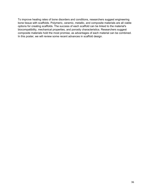To improve healing rates of bone disorders and conditions, researchers suggest engineering bone tissue with scaffolds. Polymeric, ceramic, metallic, and composite materials are all viable options for creating scaffolds. The success of each scaffold can be linked to the material's biocompatibility, mechanical properties, and porosity characteristics. Researchers suggest composite materials hold the most promise, as advantages of each material can be combined. In this poster, we will review some recent advances in scaffold design.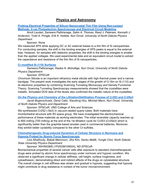## **Physics and Astronomy**

**[Probing Electrical Properties of Silicon Nanocrystal Thin Film Using Non-contact](https://symposium.foragerone.com/ndepscor21/presentations/13100)  Methods; X-ray Photoelectron [Spectroscopy and Electrical Circuit Modeling](https://symposium.foragerone.com/ndepscor21/presentations/13100)**

*Amrit Laudari, Sameera Pathiranage, Salim A. Thomas, Reed J. Petersen, Kenneth J. Anderson, Todd A. Pringle, Erik K. Hobbie, Nuri Oncel, University of North Dakota Physics Department*

#### Sponsor: None

We measured XPS while applying DC or AC external biases to a thin film of Si nanoparticles. For conducting samples, the shift in the binding energies of XPS peaks is equal to the external bias. However, for samples with dielectric properties, the shift in the binding energies is smaller than the applied voltages. We used experimental data and an equivalent circuit model to extract the capacitance and resistance of the thin film of Si nanoparticles.

#### **[Cr-modified Si \(110\) Surfaces](https://symposium.foragerone.com/ndepscor21/presentations/12615)**

*Sameera Pathiranage, Rasika N. Mohottige, Nuri Oncel, University of North Dakota Physics Department*

Sponsor: EPSCoR

Chromium Silicide is an important refractory metal silicide with high thermal power and a narrow bandgap. The present work investigates the early stages of the growth of Cr film on Si (110) and its electronic properties by combining Scanning Tunneling Microscopy and Density Functional Theory. Scanning Tunneling Spectroscopy measurements showed that the crystallites were metallic. Simulated DOS data of the facets also confirmed the metallic nature of the crystallites.

**[On the Physics and Chemistry of the Lithiation/Delithiation Process of Cr2S3 and Cr2Se3](https://symposium.foragerone.com/ndepscor21/presentations/13207)**

*Jacob Bogenschuetz, Deniz Cakir, Xiaodong Hou, Michael Mann, Nuri Oncel, University of North Dakota Physics and Department*

Sponsor: EPSCoR, UND College of Arts and Sciences We synthesized Cr2S2 (-Se3) in vacuum-sealed quartz tubes. Both materials have rhombohedral structure with R3 space group. We have investigated the electrochemical performance of these materials as working electrodes. The initial reversible capacity reaches up to 800 mAh/g (700 mAh/g) at the end of the 1st lithiation cycle for Cr2S3 (Cr2Se3) which is significantly better than the graphite-based anodes used in commercial batteries. Moreover, they exhibit better cyclability compared to the other Cr-sulfides.

**[Chemotherapeutic Drug-induced Dynamics of Cellular Structure in Normoxia and](https://symposium.foragerone.com/ndepscor21/presentations/14011)  [Hypoxia Probed by Atomic Force Spectroscopy](https://symposium.foragerone.com/ndepscor21/presentations/14011)**

*Lina Alhalhooly, Babak Mamnoon, Jiha Kim, Sanku Mallik, Yongki Choi, North Dakota State University Physics Department*

Sponsor: NIH/NIGMS (1P20GM109024), ND EPSCoR

Biomechanical properties of several cancer cells after exposure to standard chemotherapeutic drugs were probed by atomic force spectroscopy under normoxic and hypoxic condition. We observed a significant change in cellular stiffness, cell height, surface roughness, and cytoadhesion, demonstrating direct and indirect effects of the drugs on cytoskeletal structure. The overall change in cell stiffness was slower and gradual in hypoxia, suggesting that hypoxia might contribute to drug resistance in context of the tumor microenvironment.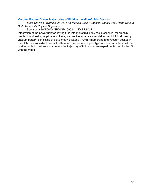#### **[Vacuum Battery Driven Trajectories of Fluid in the Microfluidic Devices](https://symposium.foragerone.com/ndepscor21/presentations/13120)**

*Sung Oh Woo, Myungkeun Oh, Kyle Nietfeld, Bailey Boehler, Yongki Choi, North Dakota State University Physics Department*

Sponsor: NIH/NIGMS (1P20GM109024), ND EPSCoR

Integration of the power unit for driving fluid into microfluidic devices is essential for on-chip, droplet blood testing applications. Here, we provide an analytic model to predict fluid driven by vacuum battery, consisting of polydimethylsiloxane (PDMS) membrane and vacuum pocket, in the PDMS microfluidic devices. Furthermore, we provide a prototype of vacuum battery unit that is attachable to devices and controls the trajectory of fluid and show experimental results that fit with the model.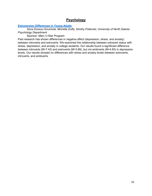# **Psychology**

#### **[Extraversion Differences in Young Adults](https://symposium.foragerone.com/ndepscor21/presentations/13131)**

*Sena Dossou-Gouchola, Michelle Duffy, Dimitry Poltavski, University of North Dakota Psychology Department*

Sponsor: Marc U-Star Program

Past research has shown differences in negative affect (depression, stress, and anxiety) between introverts and extroverts. We examined the relationship between extravert status with stress, depression, and anxiety in college students. Our results found a significant difference between introverts (M=7.43) and extroverts (M=3.89), but not ambiverts (M=4.83) in depression levels. Our results showed no differences with stress and anxiety levels between extroverts, introverts, and ambiverts.